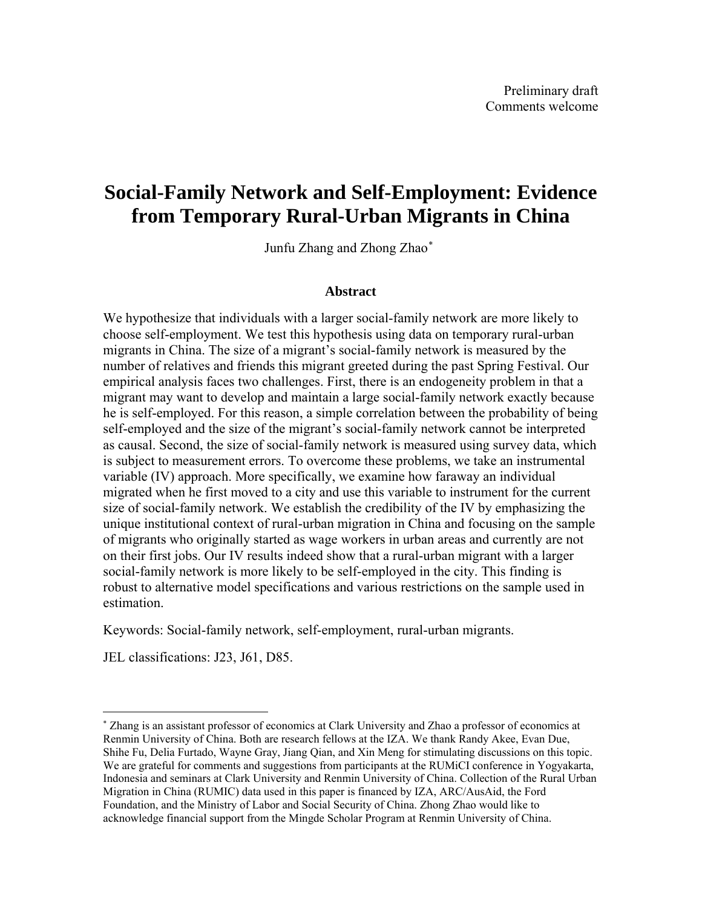# **Social-Family Network and Self-Employment: Evidence from Temporary Rural-Urban Migrants in China**

Junfu Zhang and Zhong Zhao<sup>\*</sup>

### **Abstract**

We hypothesize that individuals with a larger social-family network are more likely to choose self-employment. We test this hypothesis using data on temporary rural-urban migrants in China. The size of a migrant's social-family network is measured by the number of relatives and friends this migrant greeted during the past Spring Festival. Our empirical analysis faces two challenges. First, there is an endogeneity problem in that a migrant may want to develop and maintain a large social-family network exactly because he is self-employed. For this reason, a simple correlation between the probability of being self-employed and the size of the migrant's social-family network cannot be interpreted as causal. Second, the size of social-family network is measured using survey data, which is subject to measurement errors. To overcome these problems, we take an instrumental variable (IV) approach. More specifically, we examine how faraway an individual migrated when he first moved to a city and use this variable to instrument for the current size of social-family network. We establish the credibility of the IV by emphasizing the unique institutional context of rural-urban migration in China and focusing on the sample of migrants who originally started as wage workers in urban areas and currently are not on their first jobs. Our IV results indeed show that a rural-urban migrant with a larger social-family network is more likely to be self-employed in the city. This finding is robust to alternative model specifications and various restrictions on the sample used in estimation.

Keywords: Social-family network, self-employment, rural-urban migrants.

JEL classifications: J23, J61, D85.

<span id="page-0-0"></span><sup>∗</sup> Zhang is an assistant professor of economics at Clark University and Zhao a professor of economics at Renmin University of China. Both are research fellows at the IZA. We thank Randy Akee, Evan Due, Shihe Fu, Delia Furtado, Wayne Gray, Jiang Qian, and Xin Meng for stimulating discussions on this topic. We are grateful for comments and suggestions from participants at the RUMiCI conference in Yogyakarta, Indonesia and seminars at Clark University and Renmin University of China. Collection of the Rural Urban Migration in China (RUMIC) data used in this paper is financed by IZA, ARC/AusAid, the Ford Foundation, and the Ministry of Labor and Social Security of China. Zhong Zhao would like to acknowledge financial support from the Mingde Scholar Program at Renmin University of China.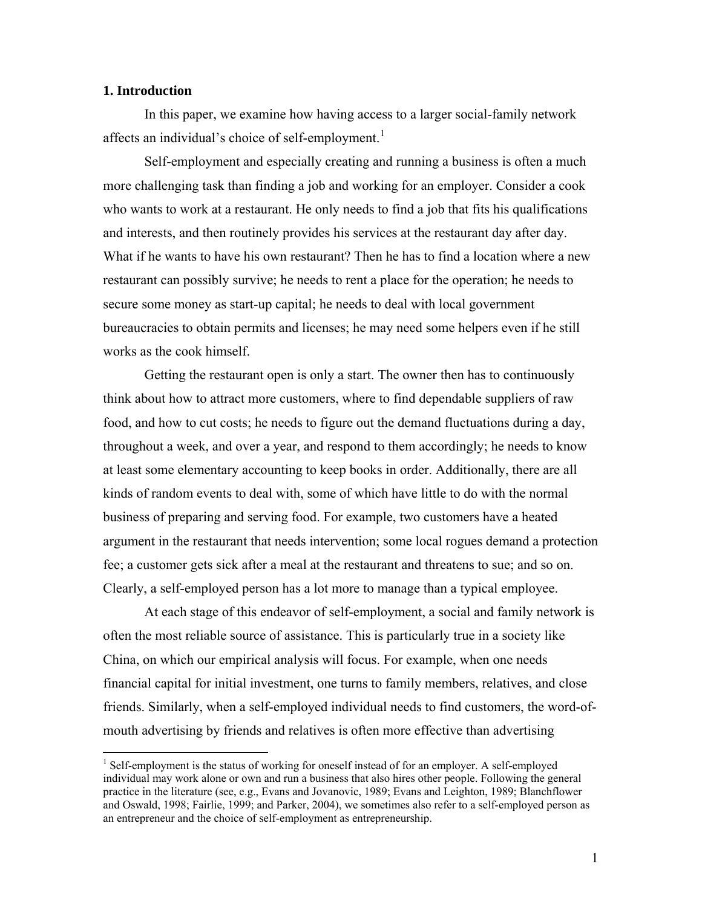## **1. Introduction**

 $\overline{a}$ 

In this paper, we examine how having access to a larger social-family network affects an individual's choice of self-employment.<sup>[1](#page-1-0)</sup>

Self-employment and especially creating and running a business is often a much more challenging task than finding a job and working for an employer. Consider a cook who wants to work at a restaurant. He only needs to find a job that fits his qualifications and interests, and then routinely provides his services at the restaurant day after day. What if he wants to have his own restaurant? Then he has to find a location where a new restaurant can possibly survive; he needs to rent a place for the operation; he needs to secure some money as start-up capital; he needs to deal with local government bureaucracies to obtain permits and licenses; he may need some helpers even if he still works as the cook himself.

Getting the restaurant open is only a start. The owner then has to continuously think about how to attract more customers, where to find dependable suppliers of raw food, and how to cut costs; he needs to figure out the demand fluctuations during a day, throughout a week, and over a year, and respond to them accordingly; he needs to know at least some elementary accounting to keep books in order. Additionally, there are all kinds of random events to deal with, some of which have little to do with the normal business of preparing and serving food. For example, two customers have a heated argument in the restaurant that needs intervention; some local rogues demand a protection fee; a customer gets sick after a meal at the restaurant and threatens to sue; and so on. Clearly, a self-employed person has a lot more to manage than a typical employee.

At each stage of this endeavor of self-employment, a social and family network is often the most reliable source of assistance. This is particularly true in a society like China, on which our empirical analysis will focus. For example, when one needs financial capital for initial investment, one turns to family members, relatives, and close friends. Similarly, when a self-employed individual needs to find customers, the word-ofmouth advertising by friends and relatives is often more effective than advertising

<span id="page-1-0"></span><sup>&</sup>lt;sup>1</sup> Self-employment is the status of working for oneself instead of for an employer. A self-employed individual may work alone or own and run a business that also hires other people. Following the general practice in the literature (see, e.g., Evans and Jovanovic, 1989; Evans and Leighton, 1989; Blanchflower and Oswald, 1998; Fairlie, 1999; and Parker, 2004), we sometimes also refer to a self-employed person as an entrepreneur and the choice of self-employment as entrepreneurship.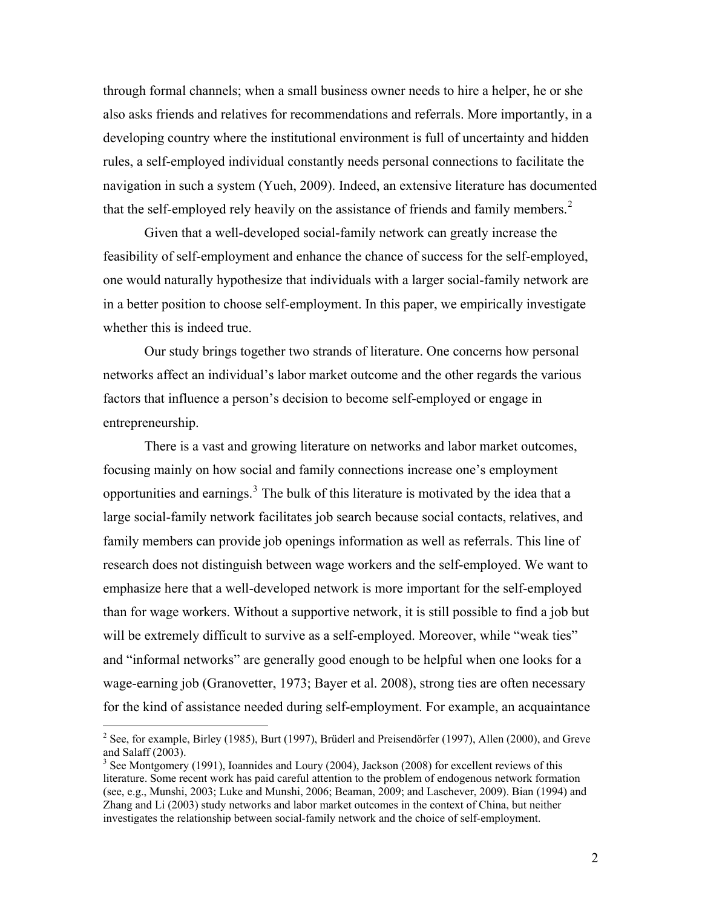<span id="page-2-0"></span>through formal channels; when a small business owner needs to hire a helper, he or she also asks friends and relatives for recommendations and referrals. More importantly, in a developing country where the institutional environment is full of uncertainty and hidden rules, a self-employed individual constantly needs personal connections to facilitate the navigation in such a system (Yueh, 2009). Indeed, an extensive literature has documented that the self-employed rely heavily on the assistance of friends and family members.<sup>[2](#page-2-0)</sup>

Given that a well-developed social-family network can greatly increase the feasibility of self-employment and enhance the chance of success for the self-employed, one would naturally hypothesize that individuals with a larger social-family network are in a better position to choose self-employment. In this paper, we empirically investigate whether this is indeed true.

Our study brings together two strands of literature. One concerns how personal networks affect an individual's labor market outcome and the other regards the various factors that influence a person's decision to become self-employed or engage in entrepreneurship.

There is a vast and growing literature on networks and labor market outcomes, focusing mainly on how social and family connections increase one's employment opportunities and earnings.<sup>[3](#page-2-0)</sup> The bulk of this literature is motivated by the idea that a large social-family network facilitates job search because social contacts, relatives, and family members can provide job openings information as well as referrals. This line of research does not distinguish between wage workers and the self-employed. We want to emphasize here that a well-developed network is more important for the self-employed than for wage workers. Without a supportive network, it is still possible to find a job but will be extremely difficult to survive as a self-employed. Moreover, while "weak ties" and "informal networks" are generally good enough to be helpful when one looks for a wage-earning job (Granovetter, 1973; Bayer et al. 2008), strong ties are often necessary for the kind of assistance needed during self-employment. For example, an acquaintance

<sup>&</sup>lt;sup>2</sup> See, for example, Birley (1985), Burt (1997), Brüderl and Preisendörfer (1997), Allen (2000), and Greve and Salaff (2003).

 $3$  See Montgomery (1991), Ioannides and Loury (2004), Jackson (2008) for excellent reviews of this literature. Some recent work has paid careful attention to the problem of endogenous network formation (see, e.g., Munshi, 2003; Luke and Munshi, 2006; Beaman, 2009; and Laschever, 2009). Bian (1994) and Zhang and Li (2003) study networks and labor market outcomes in the context of China, but neither investigates the relationship between social-family network and the choice of self-employment.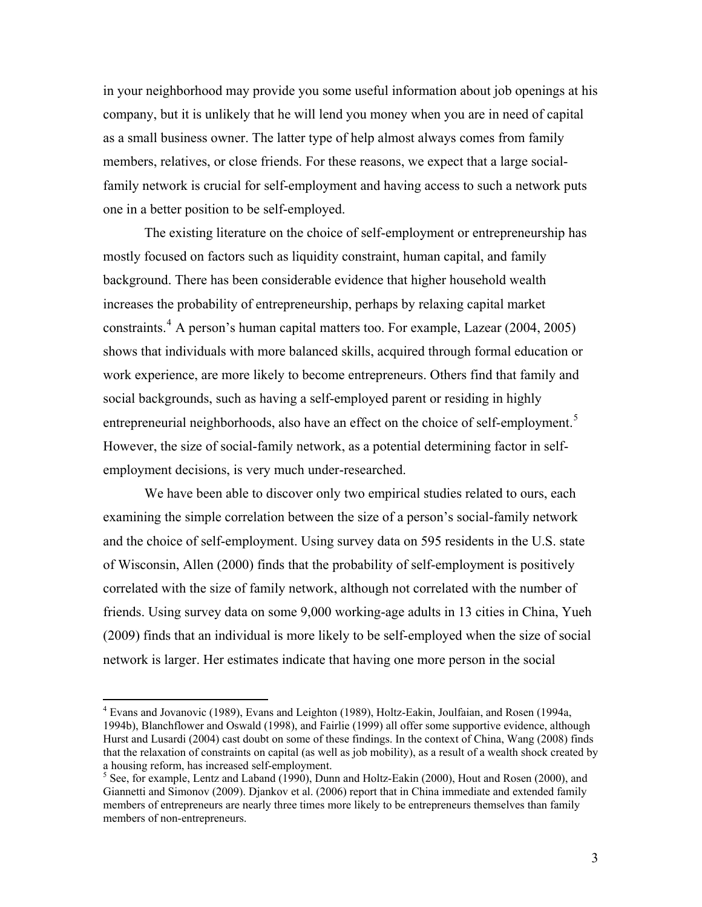<span id="page-3-0"></span>in your neighborhood may provide you some useful information about job openings at his company, but it is unlikely that he will lend you money when you are in need of capital as a small business owner. The latter type of help almost always comes from family members, relatives, or close friends. For these reasons, we expect that a large socialfamily network is crucial for self-employment and having access to such a network puts one in a better position to be self-employed.

The existing literature on the choice of self-employment or entrepreneurship has mostly focused on factors such as liquidity constraint, human capital, and family background. There has been considerable evidence that higher household wealth increases the probability of entrepreneurship, perhaps by relaxing capital market constraints.[4](#page-3-0) A person's human capital matters too. For example, Lazear (2004, 2005) shows that individuals with more balanced skills, acquired through formal education or work experience, are more likely to become entrepreneurs. Others find that family and social backgrounds, such as having a self-employed parent or residing in highly entrepreneurial neighborhoods, also have an effect on the choice of self-employment.<sup>[5](#page-3-0)</sup> However, the size of social-family network, as a potential determining factor in selfemployment decisions, is very much under-researched.

We have been able to discover only two empirical studies related to ours, each examining the simple correlation between the size of a person's social-family network and the choice of self-employment. Using survey data on 595 residents in the U.S. state of Wisconsin, Allen (2000) finds that the probability of self-employment is positively correlated with the size of family network, although not correlated with the number of friends. Using survey data on some 9,000 working-age adults in 13 cities in China, Yueh (2009) finds that an individual is more likely to be self-employed when the size of social network is larger. Her estimates indicate that having one more person in the social

1

<sup>&</sup>lt;sup>4</sup> Evans and Jovanovic (1989), Evans and Leighton (1989), Holtz-Eakin, Joulfaian, and Rosen (1994a, 1994b), Blanchflower and Oswald (1998), and Fairlie (1999) all offer some supportive evidence, although Hurst and Lusardi (2004) cast doubt on some of these findings. In the context of China, Wang (2008) finds that the relaxation of constraints on capital (as well as job mobility), as a result of a wealth shock created by a housing reform, has increased self-employment.

 $<sup>5</sup>$  See, for example, Lentz and Laband (1990), Dunn and Holtz-Eakin (2000), Hout and Rosen (2000), and</sup> Giannetti and Simonov (2009). Djankov et al. (2006) report that in China immediate and extended family members of entrepreneurs are nearly three times more likely to be entrepreneurs themselves than family members of non-entrepreneurs.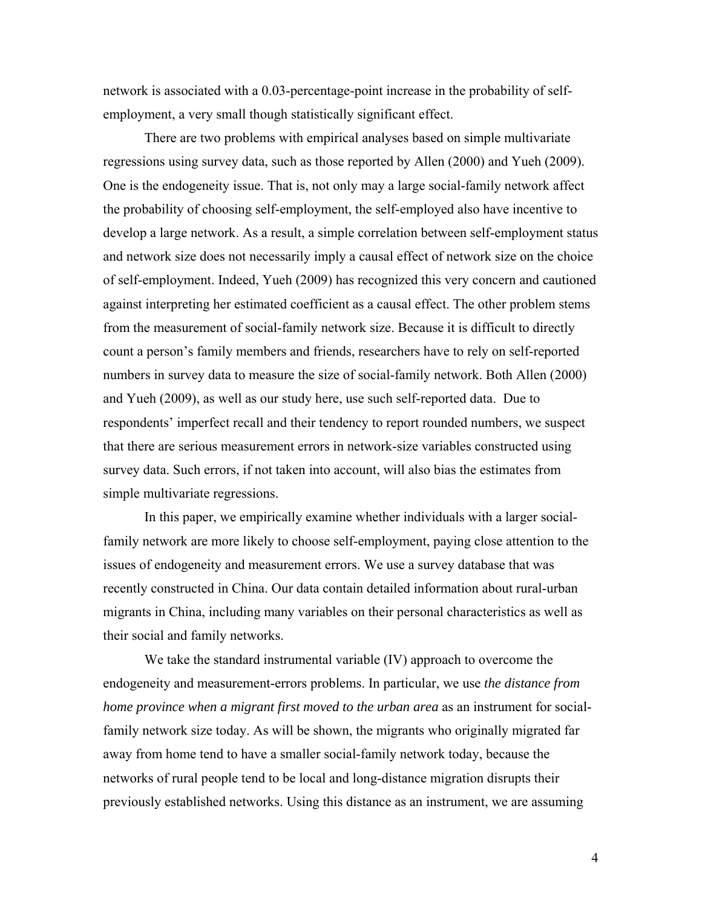network is associated with a 0.03-percentage-point increase in the probability of selfemployment, a very small though statistically significant effect.

There are two problems with empirical analyses based on simple multivariate regressions using survey data, such as those reported by Allen (2000) and Yueh (2009). One is the endogeneity issue. That is, not only may a large social-family network affect the probability of choosing self-employment, the self-employed also have incentive to develop a large network. As a result, a simple correlation between self-employment status and network size does not necessarily imply a causal effect of network size on the choice of self-employment. Indeed, Yueh (2009) has recognized this very concern and cautioned against interpreting her estimated coefficient as a causal effect. The other problem stems from the measurement of social-family network size. Because it is difficult to directly count a person's family members and friends, researchers have to rely on self-reported numbers in survey data to measure the size of social-family network. Both Allen (2000) and Yueh (2009), as well as our study here, use such self-reported data. Due to respondents' imperfect recall and their tendency to report rounded numbers, we suspect that there are serious measurement errors in network-size variables constructed using survey data. Such errors, if not taken into account, will also bias the estimates from simple multivariate regressions.

In this paper, we empirically examine whether individuals with a larger socialfamily network are more likely to choose self-employment, paying close attention to the issues of endogeneity and measurement errors. We use a survey database that was recently constructed in China. Our data contain detailed information about rural-urban migrants in China, including many variables on their personal characteristics as well as their social and family networks.

We take the standard instrumental variable (IV) approach to overcome the endogeneity and measurement-errors problems. In particular, we use *the distance from home province when a migrant first moved to the urban area* as an instrument for socialfamily network size today. As will be shown, the migrants who originally migrated far away from home tend to have a smaller social-family network today, because the networks of rural people tend to be local and long-distance migration disrupts their previously established networks. Using this distance as an instrument, we are assuming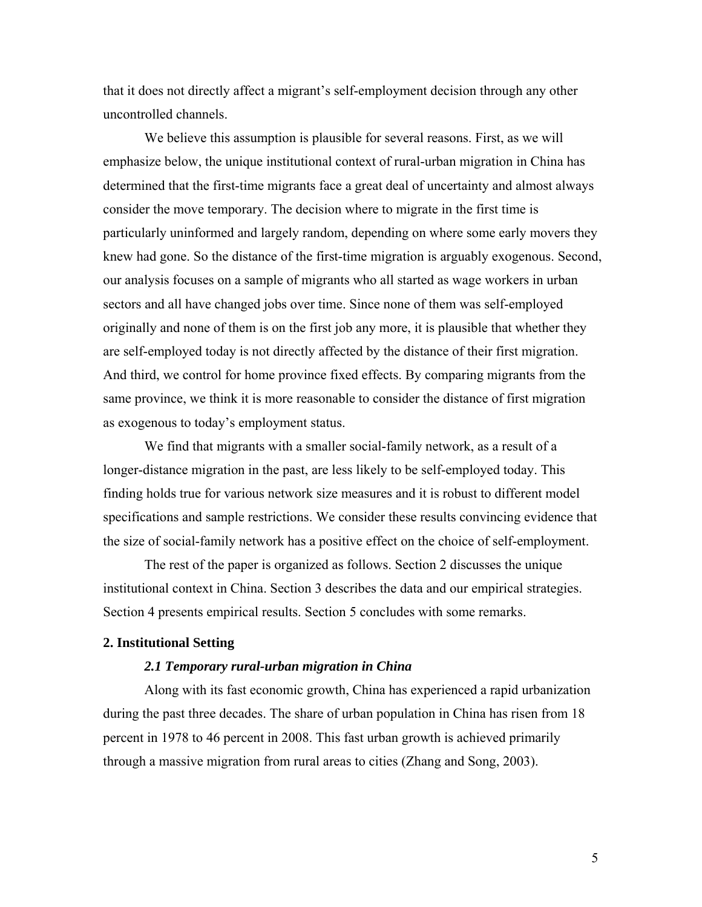that it does not directly affect a migrant's self-employment decision through any other uncontrolled channels.

We believe this assumption is plausible for several reasons. First, as we will emphasize below, the unique institutional context of rural-urban migration in China has determined that the first-time migrants face a great deal of uncertainty and almost always consider the move temporary. The decision where to migrate in the first time is particularly uninformed and largely random, depending on where some early movers they knew had gone. So the distance of the first-time migration is arguably exogenous. Second, our analysis focuses on a sample of migrants who all started as wage workers in urban sectors and all have changed jobs over time. Since none of them was self-employed originally and none of them is on the first job any more, it is plausible that whether they are self-employed today is not directly affected by the distance of their first migration. And third, we control for home province fixed effects. By comparing migrants from the same province, we think it is more reasonable to consider the distance of first migration as exogenous to today's employment status.

We find that migrants with a smaller social-family network, as a result of a longer-distance migration in the past, are less likely to be self-employed today. This finding holds true for various network size measures and it is robust to different model specifications and sample restrictions. We consider these results convincing evidence that the size of social-family network has a positive effect on the choice of self-employment.

The rest of the paper is organized as follows. Section 2 discusses the unique institutional context in China. Section 3 describes the data and our empirical strategies. Section 4 presents empirical results. Section 5 concludes with some remarks.

## **2. Institutional Setting**

### *2.1 Temporary rural-urban migration in China*

Along with its fast economic growth, China has experienced a rapid urbanization during the past three decades. The share of urban population in China has risen from 18 percent in 1978 to 46 percent in 2008. This fast urban growth is achieved primarily through a massive migration from rural areas to cities (Zhang and Song, 2003).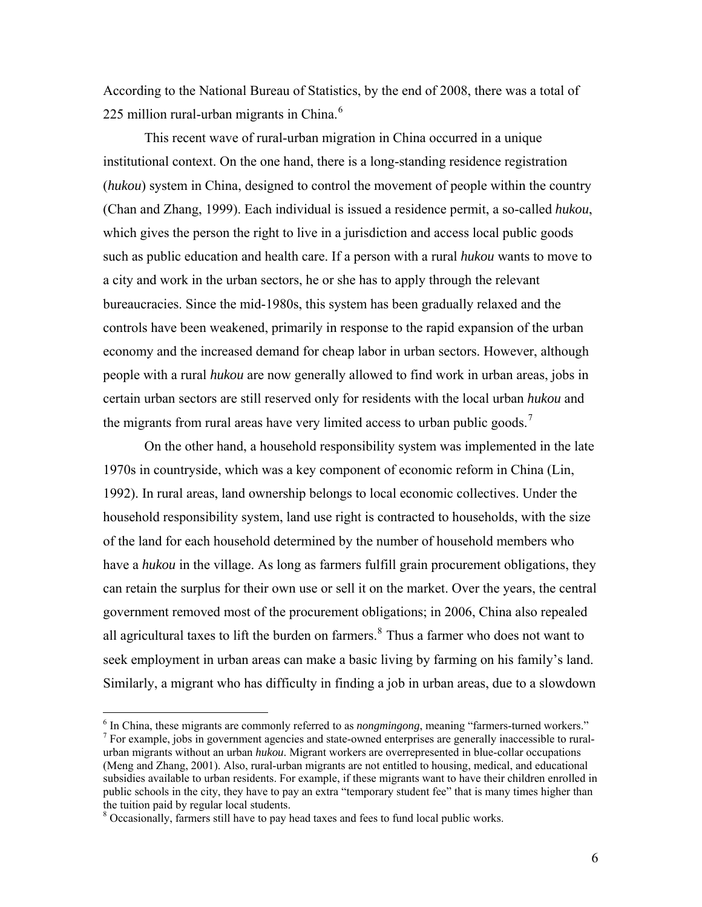<span id="page-6-0"></span>According to the National Bureau of Statistics, by the end of 2008, there was a total of 225 million rural-urban migrants in China. $<sup>6</sup>$  $<sup>6</sup>$  $<sup>6</sup>$ </sup>

This recent wave of rural-urban migration in China occurred in a unique institutional context. On the one hand, there is a long-standing residence registration (*hukou*) system in China, designed to control the movement of people within the country (Chan and Zhang, 1999). Each individual is issued a residence permit, a so-called *hukou*, which gives the person the right to live in a jurisdiction and access local public goods such as public education and health care. If a person with a rural *hukou* wants to move to a city and work in the urban sectors, he or she has to apply through the relevant bureaucracies. Since the mid-1980s, this system has been gradually relaxed and the controls have been weakened, primarily in response to the rapid expansion of the urban economy and the increased demand for cheap labor in urban sectors. However, although people with a rural *hukou* are now generally allowed to find work in urban areas, jobs in certain urban sectors are still reserved only for residents with the local urban *hukou* and the migrants from rural areas have very limited access to urban public goods.<sup>[7](#page-6-0)</sup>

On the other hand, a household responsibility system was implemented in the late 1970s in countryside, which was a key component of economic reform in China (Lin, 1992). In rural areas, land ownership belongs to local economic collectives. Under the household responsibility system, land use right is contracted to households, with the size of the land for each household determined by the number of household members who have a *hukou* in the village. As long as farmers fulfill grain procurement obligations, they can retain the surplus for their own use or sell it on the market. Over the years, the central government removed most of the procurement obligations; in 2006, China also repealed all agricultural taxes to lift the burden on farmers. $8$  Thus a farmer who does not want to seek employment in urban areas can make a basic living by farming on his family's land. Similarly, a migrant who has difficulty in finding a job in urban areas, due to a slowdown

<sup>&</sup>lt;sup>6</sup> In China, these migrants are commonly referred to as *nongmingong*, meaning "farmers-turned workers."<br><sup>7</sup> For example, jobs in government egencies and state owned enterprises are generally inaccessible to rural <sup>7</sup> For example, jobs in government agencies and state-owned enterprises are generally inaccessible to ruralurban migrants without an urban *hukou*. Migrant workers are overrepresented in blue-collar occupations (Meng and Zhang, 2001). Also, rural-urban migrants are not entitled to housing, medical, and educational subsidies available to urban residents. For example, if these migrants want to have their children enrolled in public schools in the city, they have to pay an extra "temporary student fee" that is many times higher than the tuition paid by regular local students.

<sup>&</sup>lt;sup>8</sup> Occasionally, farmers still have to pay head taxes and fees to fund local public works.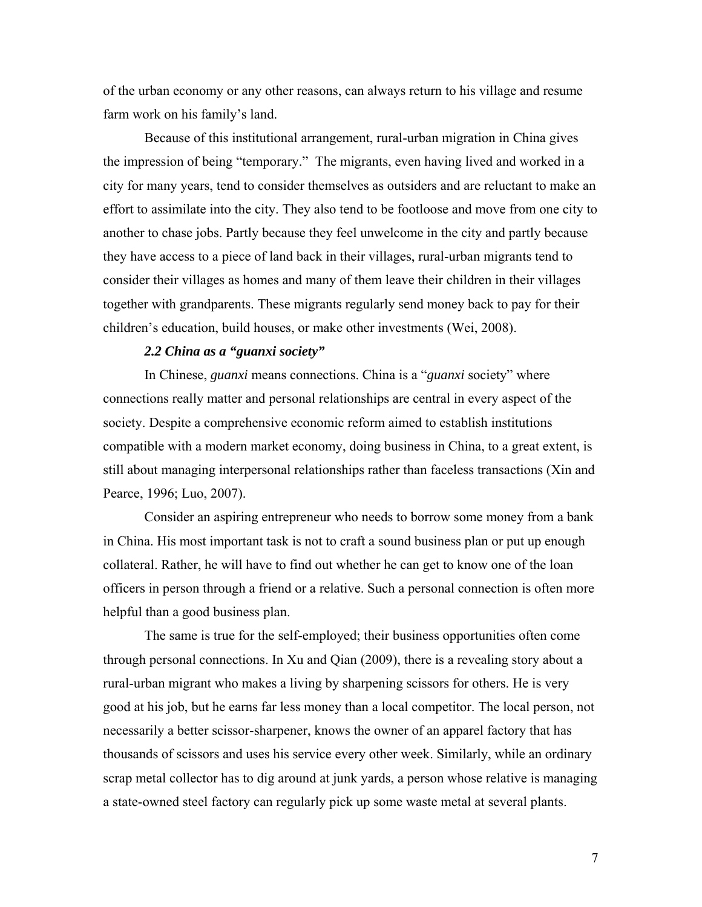of the urban economy or any other reasons, can always return to his village and resume farm work on his family's land.

Because of this institutional arrangement, rural-urban migration in China gives the impression of being "temporary." The migrants, even having lived and worked in a city for many years, tend to consider themselves as outsiders and are reluctant to make an effort to assimilate into the city. They also tend to be footloose and move from one city to another to chase jobs. Partly because they feel unwelcome in the city and partly because they have access to a piece of land back in their villages, rural-urban migrants tend to consider their villages as homes and many of them leave their children in their villages together with grandparents. These migrants regularly send money back to pay for their children's education, build houses, or make other investments (Wei, 2008).

### *2.2 China as a "guanxi society"*

 In Chinese, *guanxi* means connections. China is a "*guanxi* society" where connections really matter and personal relationships are central in every aspect of the society. Despite a comprehensive economic reform aimed to establish institutions compatible with a modern market economy, doing business in China, to a great extent, is still about managing interpersonal relationships rather than faceless transactions (Xin and Pearce, 1996; Luo, 2007).

Consider an aspiring entrepreneur who needs to borrow some money from a bank in China. His most important task is not to craft a sound business plan or put up enough collateral. Rather, he will have to find out whether he can get to know one of the loan officers in person through a friend or a relative. Such a personal connection is often more helpful than a good business plan.

 The same is true for the self-employed; their business opportunities often come through personal connections. In Xu and Qian (2009), there is a revealing story about a rural-urban migrant who makes a living by sharpening scissors for others. He is very good at his job, but he earns far less money than a local competitor. The local person, not necessarily a better scissor-sharpener, knows the owner of an apparel factory that has thousands of scissors and uses his service every other week. Similarly, while an ordinary scrap metal collector has to dig around at junk yards, a person whose relative is managing a state-owned steel factory can regularly pick up some waste metal at several plants.

7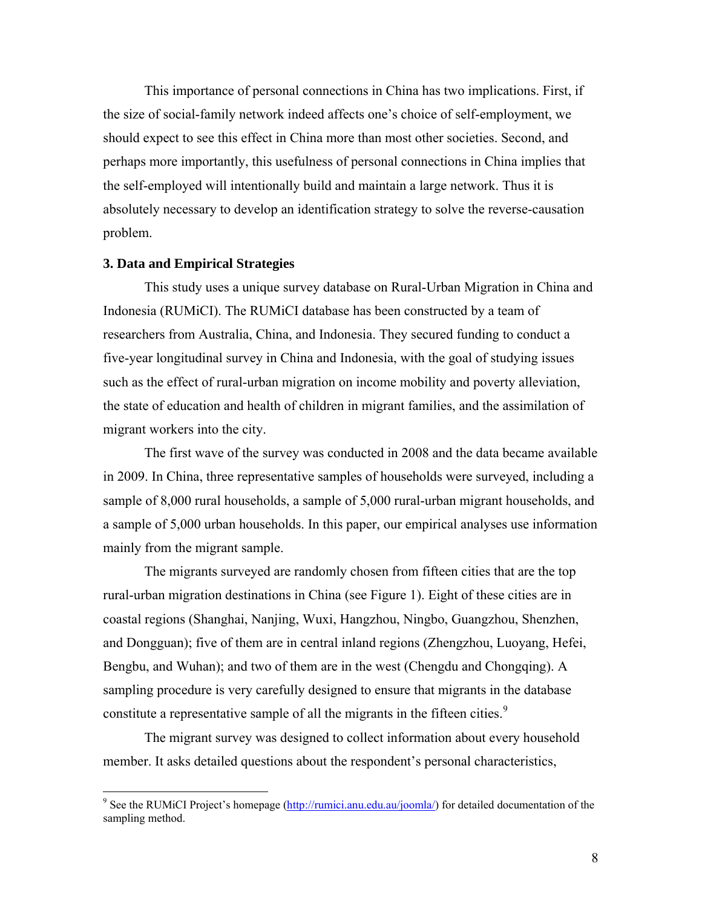<span id="page-8-0"></span> This importance of personal connections in China has two implications. First, if the size of social-family network indeed affects one's choice of self-employment, we should expect to see this effect in China more than most other societies. Second, and perhaps more importantly, this usefulness of personal connections in China implies that the self-employed will intentionally build and maintain a large network. Thus it is absolutely necessary to develop an identification strategy to solve the reverse-causation problem.

### **3. Data and Empirical Strategies**

This study uses a unique survey database on Rural-Urban Migration in China and Indonesia (RUMiCI). The RUMiCI database has been constructed by a team of researchers from Australia, China, and Indonesia. They secured funding to conduct a five-year longitudinal survey in China and Indonesia, with the goal of studying issues such as the effect of rural-urban migration on income mobility and poverty alleviation, the state of education and health of children in migrant families, and the assimilation of migrant workers into the city.

The first wave of the survey was conducted in 2008 and the data became available in 2009. In China, three representative samples of households were surveyed, including a sample of 8,000 rural households, a sample of 5,000 rural-urban migrant households, and a sample of 5,000 urban households. In this paper, our empirical analyses use information mainly from the migrant sample.

The migrants surveyed are randomly chosen from fifteen cities that are the top rural-urban migration destinations in China (see Figure 1). Eight of these cities are in coastal regions (Shanghai, Nanjing, Wuxi, Hangzhou, Ningbo, Guangzhou, Shenzhen, and Dongguan); five of them are in central inland regions (Zhengzhou, Luoyang, Hefei, Bengbu, and Wuhan); and two of them are in the west (Chengdu and Chongqing). A sampling procedure is very carefully designed to ensure that migrants in the database constitute a representative sample of all the migrants in the fifteen cities.<sup>[9](#page-8-0)</sup>

The migrant survey was designed to collect information about every household member. It asks detailed questions about the respondent's personal characteristics,

<sup>&</sup>lt;sup>9</sup> See the RUMiCI Project's homepage [\(http://rumici.anu.edu.au/joomla/\)](http://rumici.anu.edu.au/joomla/) for detailed documentation of the sampling method.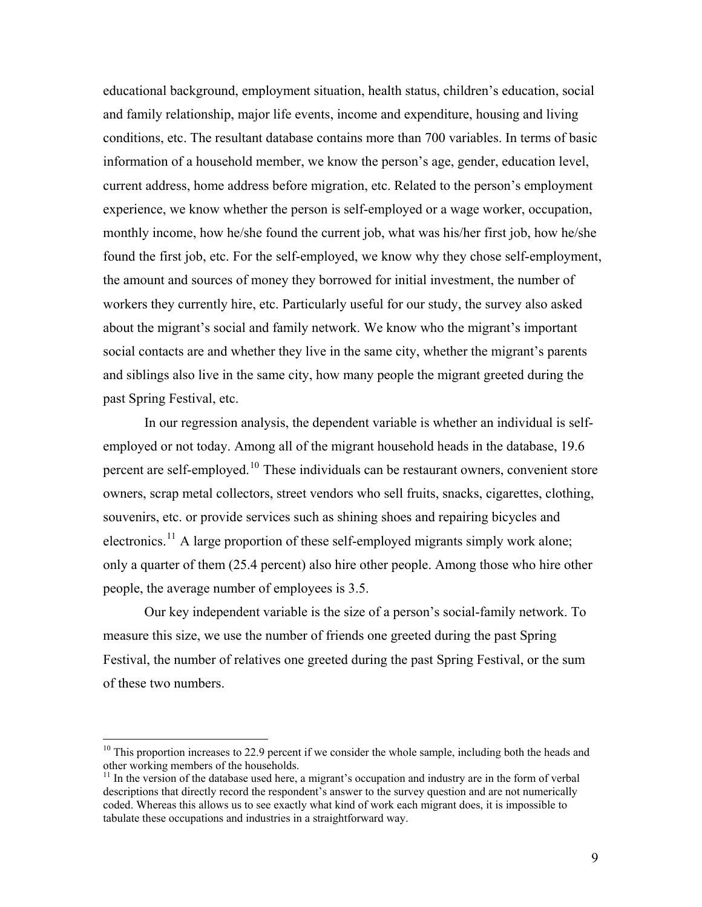<span id="page-9-0"></span>educational background, employment situation, health status, children's education, social and family relationship, major life events, income and expenditure, housing and living conditions, etc. The resultant database contains more than 700 variables. In terms of basic information of a household member, we know the person's age, gender, education level, current address, home address before migration, etc. Related to the person's employment experience, we know whether the person is self-employed or a wage worker, occupation, monthly income, how he/she found the current job, what was his/her first job, how he/she found the first job, etc. For the self-employed, we know why they chose self-employment, the amount and sources of money they borrowed for initial investment, the number of workers they currently hire, etc. Particularly useful for our study, the survey also asked about the migrant's social and family network. We know who the migrant's important social contacts are and whether they live in the same city, whether the migrant's parents and siblings also live in the same city, how many people the migrant greeted during the past Spring Festival, etc.

In our regression analysis, the dependent variable is whether an individual is selfemployed or not today. Among all of the migrant household heads in the database, 19.6 percent are self-employed.<sup>[10](#page-9-0)</sup> These individuals can be restaurant owners, convenient store owners, scrap metal collectors, street vendors who sell fruits, snacks, cigarettes, clothing, souvenirs, etc. or provide services such as shining shoes and repairing bicycles and electronics.<sup>[11](#page-9-0)</sup> A large proportion of these self-employed migrants simply work alone; only a quarter of them (25.4 percent) also hire other people. Among those who hire other people, the average number of employees is 3.5.

Our key independent variable is the size of a person's social-family network. To measure this size, we use the number of friends one greeted during the past Spring Festival, the number of relatives one greeted during the past Spring Festival, or the sum of these two numbers.

 $10$  This proportion increases to 22.9 percent if we consider the whole sample, including both the heads and other working members of the households.

 $11$  In the version of the database used here, a migrant's occupation and industry are in the form of verbal descriptions that directly record the respondent's answer to the survey question and are not numerically coded. Whereas this allows us to see exactly what kind of work each migrant does, it is impossible to tabulate these occupations and industries in a straightforward way.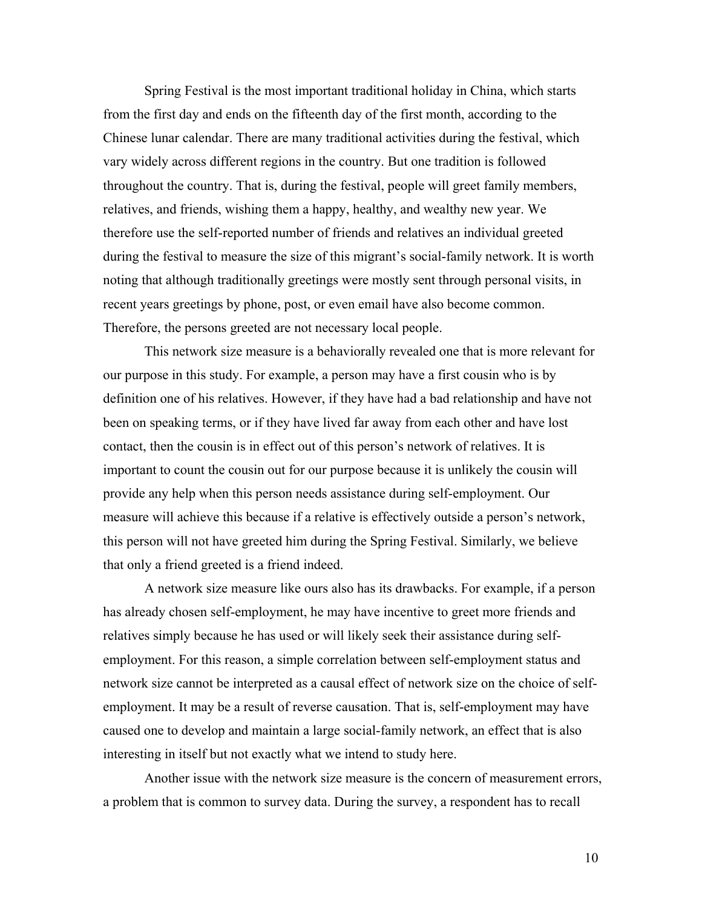Spring Festival is the most important traditional holiday in China, which starts from the first day and ends on the fifteenth day of the first month, according to the Chinese lunar calendar. There are many traditional activities during the festival, which vary widely across different regions in the country. But one tradition is followed throughout the country. That is, during the festival, people will greet family members, relatives, and friends, wishing them a happy, healthy, and wealthy new year. We therefore use the self-reported number of friends and relatives an individual greeted during the festival to measure the size of this migrant's social-family network. It is worth noting that although traditionally greetings were mostly sent through personal visits, in recent years greetings by phone, post, or even email have also become common. Therefore, the persons greeted are not necessary local people.

This network size measure is a behaviorally revealed one that is more relevant for our purpose in this study. For example, a person may have a first cousin who is by definition one of his relatives. However, if they have had a bad relationship and have not been on speaking terms, or if they have lived far away from each other and have lost contact, then the cousin is in effect out of this person's network of relatives. It is important to count the cousin out for our purpose because it is unlikely the cousin will provide any help when this person needs assistance during self-employment. Our measure will achieve this because if a relative is effectively outside a person's network, this person will not have greeted him during the Spring Festival. Similarly, we believe that only a friend greeted is a friend indeed.

A network size measure like ours also has its drawbacks. For example, if a person has already chosen self-employment, he may have incentive to greet more friends and relatives simply because he has used or will likely seek their assistance during selfemployment. For this reason, a simple correlation between self-employment status and network size cannot be interpreted as a causal effect of network size on the choice of selfemployment. It may be a result of reverse causation. That is, self-employment may have caused one to develop and maintain a large social-family network, an effect that is also interesting in itself but not exactly what we intend to study here.

Another issue with the network size measure is the concern of measurement errors, a problem that is common to survey data. During the survey, a respondent has to recall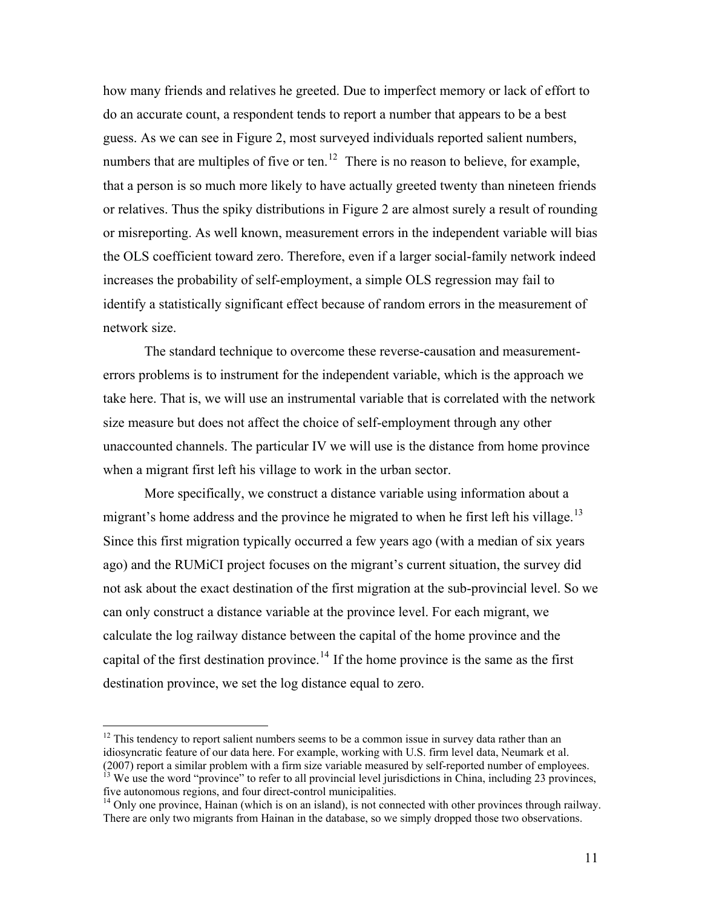<span id="page-11-0"></span>how many friends and relatives he greeted. Due to imperfect memory or lack of effort to do an accurate count, a respondent tends to report a number that appears to be a best guess. As we can see in Figure 2, most surveyed individuals reported salient numbers, numbers that are multiples of five or ten.<sup>[12](#page-11-0)</sup> There is no reason to believe, for example, that a person is so much more likely to have actually greeted twenty than nineteen friends or relatives. Thus the spiky distributions in Figure 2 are almost surely a result of rounding or misreporting. As well known, measurement errors in the independent variable will bias the OLS coefficient toward zero. Therefore, even if a larger social-family network indeed increases the probability of self-employment, a simple OLS regression may fail to identify a statistically significant effect because of random errors in the measurement of network size.

The standard technique to overcome these reverse-causation and measurementerrors problems is to instrument for the independent variable, which is the approach we take here. That is, we will use an instrumental variable that is correlated with the network size measure but does not affect the choice of self-employment through any other unaccounted channels. The particular IV we will use is the distance from home province when a migrant first left his village to work in the urban sector.

More specifically, we construct a distance variable using information about a migrant's home address and the province he migrated to when he first left his village.<sup>[13](#page-11-0)</sup> Since this first migration typically occurred a few years ago (with a median of six years ago) and the RUMiCI project focuses on the migrant's current situation, the survey did not ask about the exact destination of the first migration at the sub-provincial level. So we can only construct a distance variable at the province level. For each migrant, we calculate the log railway distance between the capital of the home province and the capital of the first destination province.<sup>[14](#page-11-0)</sup> If the home province is the same as the first destination province, we set the log distance equal to zero.

 $12$  This tendency to report salient numbers seems to be a common issue in survey data rather than an idiosyncratic feature of our data here. For example, working with U.S. firm level data, Neumark et al. (2007) report a similar problem with a firm size variable measured by self-reported number of employees.  $\frac{13}{13}$  We use the word "province" to refer to all provincial level jurisdictions in China, including 23 provinces,

five autonomous regions, and four direct-control municipalities.

<sup>&</sup>lt;sup>14</sup> Only one province, Hainan (which is on an island), is not connected with other provinces through railway. There are only two migrants from Hainan in the database, so we simply dropped those two observations.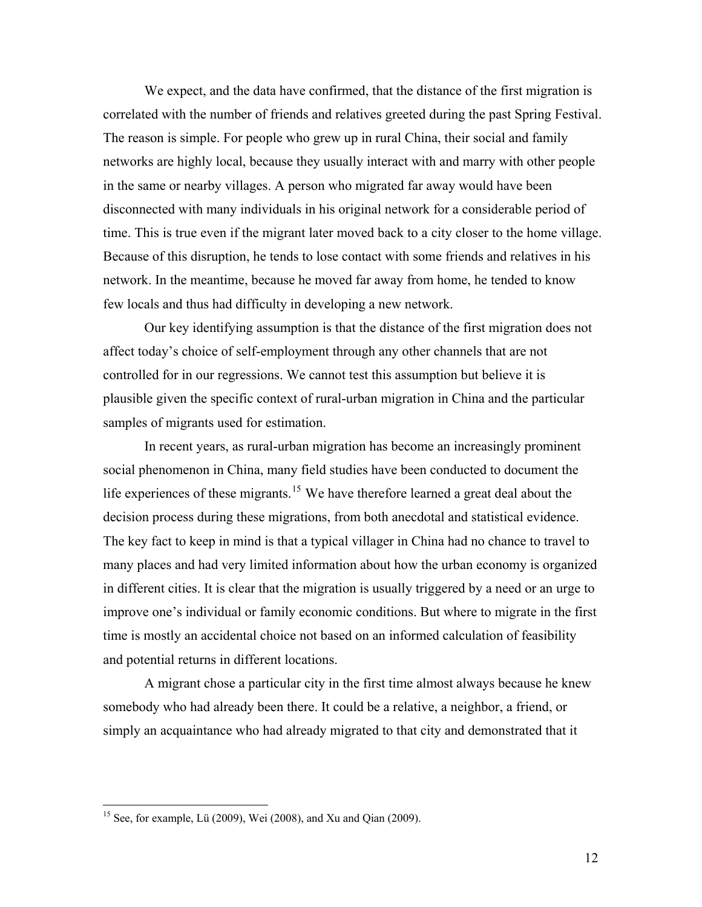<span id="page-12-0"></span>We expect, and the data have confirmed, that the distance of the first migration is correlated with the number of friends and relatives greeted during the past Spring Festival. The reason is simple. For people who grew up in rural China, their social and family networks are highly local, because they usually interact with and marry with other people in the same or nearby villages. A person who migrated far away would have been disconnected with many individuals in his original network for a considerable period of time. This is true even if the migrant later moved back to a city closer to the home village. Because of this disruption, he tends to lose contact with some friends and relatives in his network. In the meantime, because he moved far away from home, he tended to know few locals and thus had difficulty in developing a new network.

Our key identifying assumption is that the distance of the first migration does not affect today's choice of self-employment through any other channels that are not controlled for in our regressions. We cannot test this assumption but believe it is plausible given the specific context of rural-urban migration in China and the particular samples of migrants used for estimation.

In recent years, as rural-urban migration has become an increasingly prominent social phenomenon in China, many field studies have been conducted to document the life experiences of these migrants.<sup>[15](#page-12-0)</sup> We have therefore learned a great deal about the decision process during these migrations, from both anecdotal and statistical evidence. The key fact to keep in mind is that a typical villager in China had no chance to travel to many places and had very limited information about how the urban economy is organized in different cities. It is clear that the migration is usually triggered by a need or an urge to improve one's individual or family economic conditions. But where to migrate in the first time is mostly an accidental choice not based on an informed calculation of feasibility and potential returns in different locations.

A migrant chose a particular city in the first time almost always because he knew somebody who had already been there. It could be a relative, a neighbor, a friend, or simply an acquaintance who had already migrated to that city and demonstrated that it

<sup>&</sup>lt;sup>15</sup> See, for example, Lü (2009), Wei (2008), and Xu and Qian (2009).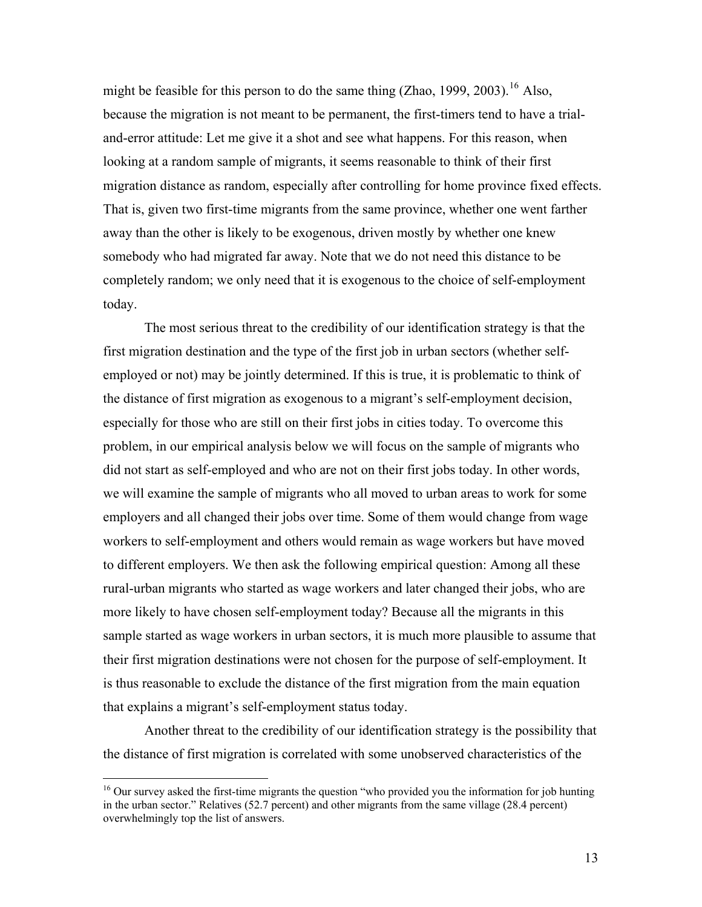<span id="page-13-0"></span>might be feasible for this person to do the same thing  $(Zhao, 1999, 2003)$ .<sup>[16](#page-13-0)</sup> Also, because the migration is not meant to be permanent, the first-timers tend to have a trialand-error attitude: Let me give it a shot and see what happens. For this reason, when looking at a random sample of migrants, it seems reasonable to think of their first migration distance as random, especially after controlling for home province fixed effects. That is, given two first-time migrants from the same province, whether one went farther away than the other is likely to be exogenous, driven mostly by whether one knew somebody who had migrated far away. Note that we do not need this distance to be completely random; we only need that it is exogenous to the choice of self-employment today.

The most serious threat to the credibility of our identification strategy is that the the distance of first migration as exogenous to a migrant's self-employment decision, rural-urban migrants who started as wage workers and later changed their jobs, who are sample started as wage workers in urban sectors, it is much more plausible to assume that is thus reasonable to exclude the distance of the first migration from the main equation that exp lains a migrant's self-employment status today. first migration destination and the type of the first job in urban sectors (whether selfemployed or not) may be jointly determined. If this is true, it is problematic to think of especially for those who are still on their first jobs in cities today. To overcome this problem, in our empirical analysis below we will focus on the sample of migrants who did not start as self-employed and who are not on their first jobs today. In other words, we will examine the sample of migrants who all moved to urban areas to work for some employers and all changed their jobs over time. Some of them would change from wage workers to self-employment and others would remain as wage workers but have moved to different employers. We then ask the following empirical question: Among all these more likely to have chosen self-employment today? Because all the migrants in this their first migration destinations were not chosen for the purpose of self-employment. It

Another threat to the credibility of our identification strategy is the possibility that the distance of first migration is correlated with some unobserved characteristics of the

<sup>&</sup>lt;sup>16</sup> Our survey asked the first-time migrants the question "who provided you the information for job hunting in the urban sector." Relatives (52.7 percent) and other migrants from the same village (28.4 percent) overwhelmingly top the list of answers.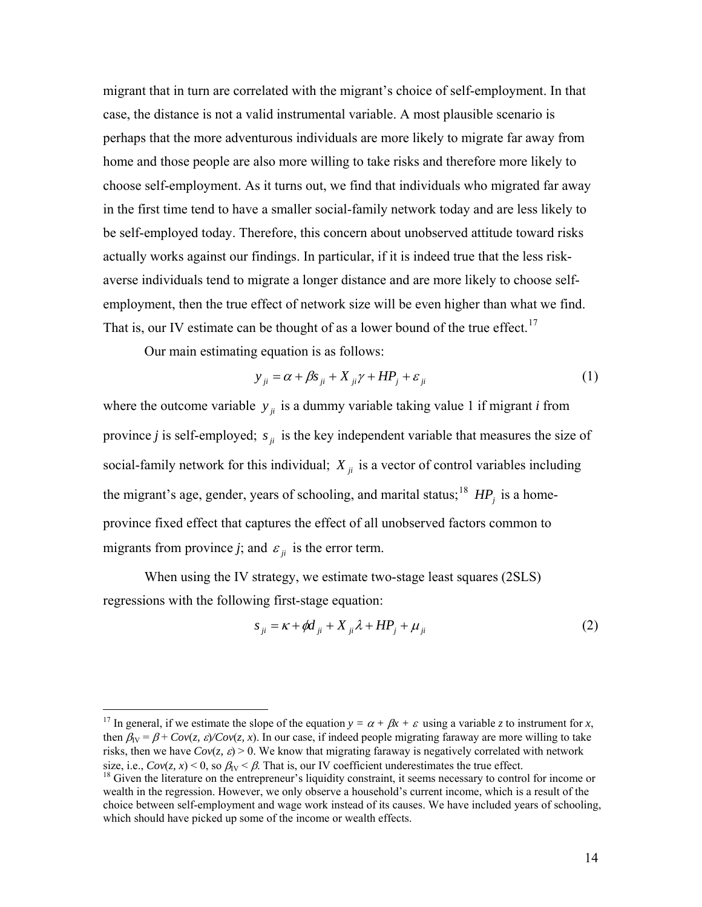<span id="page-14-0"></span>migrant that in turn are correlated with the migrant's choice of self-employment. In that case, the distance is not a valid instrumental variable. A most plausible scenario is perhaps that the more adventurous individuals are more likely to migrate far away from home and those people are also more willing to take risks and therefore more likely to choose self-employment. As it turns out, we find that individuals who migrated far away in the first time tend to have a smaller social-family network today and are less likely to be self-employed today. Therefore, this concern about unobserved attitude toward risk s actually works against our findings. In particular, if it is indeed true that the less riskaverse individuals tend to migrate a longer distance and are more likely to choose selfemployment, then the true effect of network size will be even higher than what w e find. That is, our IV estimate can be thought of as a lower bound of the true effect.<sup>17</sup>

Our main estimating equation is as follows:

 $\overline{a}$ 

$$
y_{ji} = \alpha + \beta s_{ji} + X_{ji}\gamma + H P_j + \varepsilon_{ji}
$$
 (1)

where the outcome variable  $y_{ji}$  is a dummy variable taking value 1 if migrant *i* from province *j* is self-employed;  $s_{ji}$  is the key independent variable that measures the size of social-family network for this individual;  $X_{ji}$  is a vector of control variables including the migrant's age, gender, years of schooling, and marital status;<sup>[18](#page-14-0)</sup>  $HP_j$  is a homeprovince fixed effect that captures the effect of all unobserved factors common to migrants from province *j*; and  $\varepsilon_{ji}$  is the error term.

When using the IV strategy, we estimate two-stage least squares (2SLS) regressions with the following first-stage equation:

$$
s_{ji} = \kappa + \phi d_{ji} + X_{ji} \lambda + HP_j + \mu_{ji}
$$
 (2)

<sup>&</sup>lt;sup>17</sup> In general, if we estimate the slope of the equation  $y = \alpha + \beta x + \varepsilon$  using a variable *z* to instrument for *x*, then  $B_{IV} = \beta + Cov(z, \varepsilon)/Cov(z, x)$ . In our case, if indeed people migrating faraway are more willing to take risks, then we have  $Cov(z, \varepsilon) > 0$ . We know that migrating faraway is negatively correlated with network size, i.e.,  $Cov(z, x) < 0$ , so  $\beta_{\text{IV}} < \beta$ . That is, our IV coefficient underestimates the true effect.<br><sup>18</sup> Given the literature on the entrepreneur's liquidity constraint, it seems necessary to control for income or

wealth in the regression. However, we only observe a household's current income, which is a result of the choice between self-employment and wage work instead of its causes. We have included years of schooling, which should have picked up some of the income or wealth effects.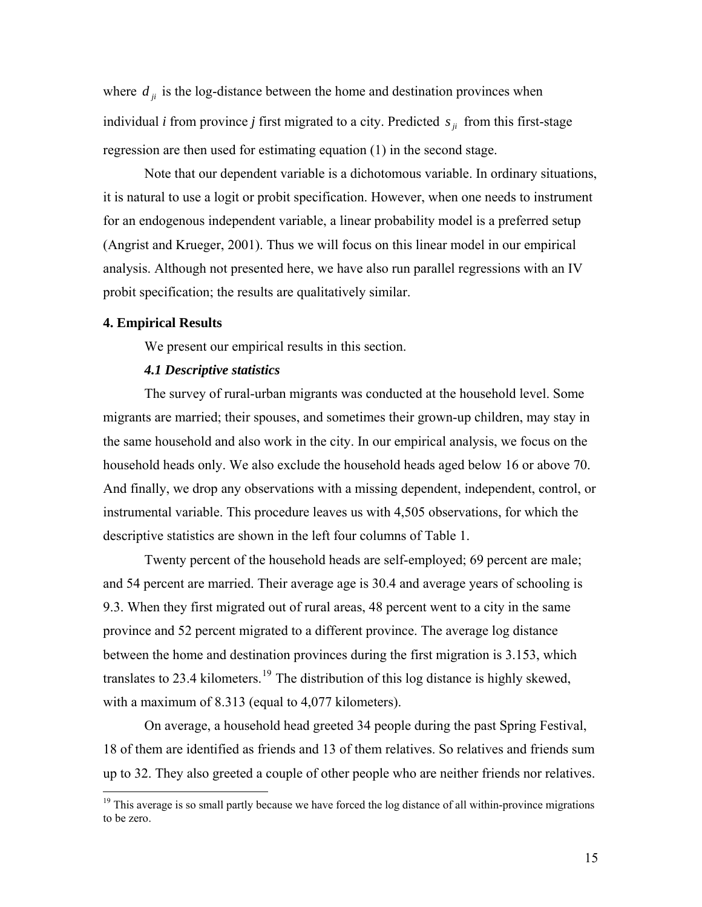where  $d_{ji}$  is the log-distance between the home and destination provinces when individual *i* from province *j* first migrated to a city. Predicted  $s_{ij}$  from this first-stage regression are then used for estimating equation (1) in the second stage.

it is natural to use a logit or probit specification. However, when one needs to instrument for an endogenous independent variable, a linear probability model is a preferred setup (Angrist and Krueger, 2001). Thus we will focus on this linear model in our empirical analysis. Although not presented here, we have also run parallel regressions with an IV probit specification; the results are qualitatively similar. Note that our dependent variable is a dichotomous variable. In ordinary situations,

#### **4. Empirical Results**

1

We present our empirical results in this section.

#### *4.1 Descriptive statistics*

the same household and also work in the city. In our empirical analysis, we focus on the The survey of rural-urban migrants was conducted at the household level. Some migrants are married; their spouses, and sometimes their grown-up children, may stay in household heads only. We also exclude the household heads aged below 16 or above 70. And finally, we drop any observations with a missing dependent, independent, control, or instrumental variable. This procedure leaves us with 4,505 observations, for which the descriptive statistics are shown in the left four columns of Table 1.

Twenty percent of the household heads are self-employed; 69 percent are male; and 54 percent are married. Their average age is 30.4 and average years of schooling is 9.3. When they first migrated out of rural areas, 48 percent went to a city in the same province and 52 percent migrated to a different province. The average log distance between the home and destination provinces during the first migration is 3.153, which translates to 23.4 kilometers.<sup>19</sup> The distribution of this log distance is highly skewed, with a maximum of 8.313 (equal to 4,077 kilometers).

On average, a household head greeted 34 people during the past Spring Festival, 18 of them are identified as friends and 13 of them relatives. So relatives and friends sum up to 32. They also greeted a couple of other people who are neither friends nor relatives.

 $19$  This average is so small partly because we have forced the log distance of all within-province migrations to be zero.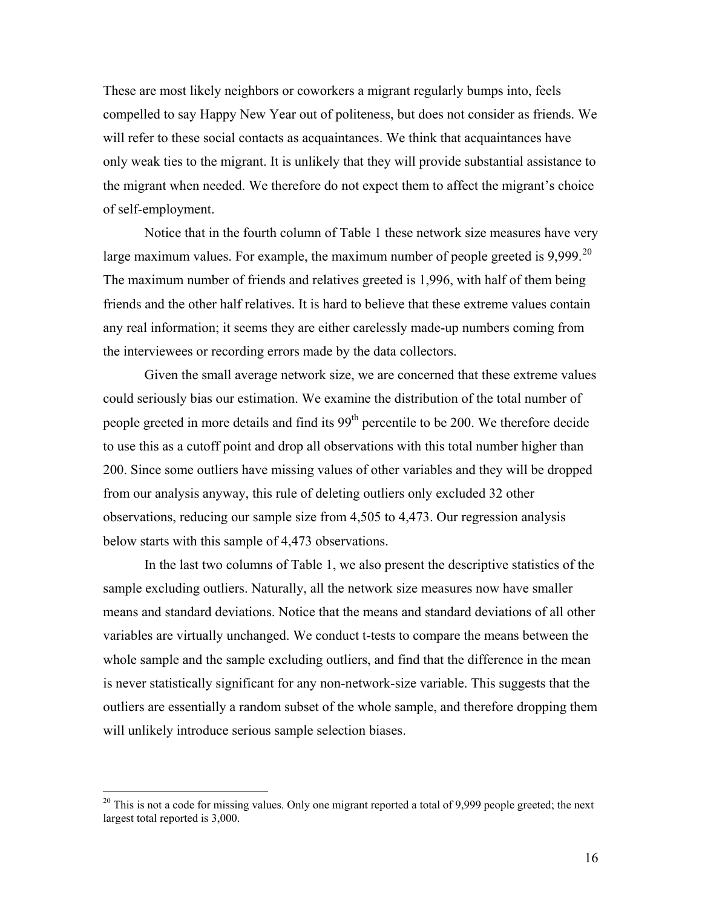<span id="page-16-0"></span>These are most likely neighbors or coworkers a migrant regularly bumps into, feels compelled to say Happy New Year out of politeness, but does not consider as friends. We will refer to these social contacts as acquaintances. We think that acquaintances have only w eak ties to the migrant. It is unlikely that they will provide substantial assistance to the migrant when needed. We therefore do not expect them to affect the migrant's choice of self-employment.

[The maximum number of friends and relatives greeted is 1,996, w](#page-16-0)ith half of them being friends and the other half relatives. It is hard to believe that these extreme values contain Notice that in the fourth column of Table 1 these network size measures have very large maximum values. For example, the maximum number of people greeted is  $9.999$ <sup>[20](#page-16-0)</sup> any real information; it seems they are either carelessly made-up numbers coming from the interviewees or recording errors made by the data collectors.

Given the small average network size, we are concerned that these extreme values people greeted in more details and find its 99<sup>th</sup> percentile to be 200. We therefore decide to use this as a cutoff point and drop all observations with this total number higher than 200. Since some outliers have missing values of other variables and they will be dropped from ou r analysis anyway, this rule of deleting outliers only excluded 32 other could seriously bias our estimation. We examine the distribution of the total number of observations, reducing our sample size from 4,505 to 4,473. Our regression analysis below starts with this sample of 4,473 observations.

whole sample and the sample excluding outliers, and find that the difference in the mean is never statistically significant for any non-network-size variable. This suggests that the In the last two columns of Table 1, we also present the descriptive statistics of the sample excluding outliers. Naturally, all the network size measures now have smaller means and standard deviations. Notice that the means and standard deviations of all other variables are virtually unchanged. We conduct t-tests to compare the means between the outliers are essentially a random subset of the whole sample, and therefore dropping them will unlikely introduce serious sample selection biases.

 $20$  This is not a code for missing values. Only one migrant reported a total of 9,999 people greeted; the next largest total reported is 3,000.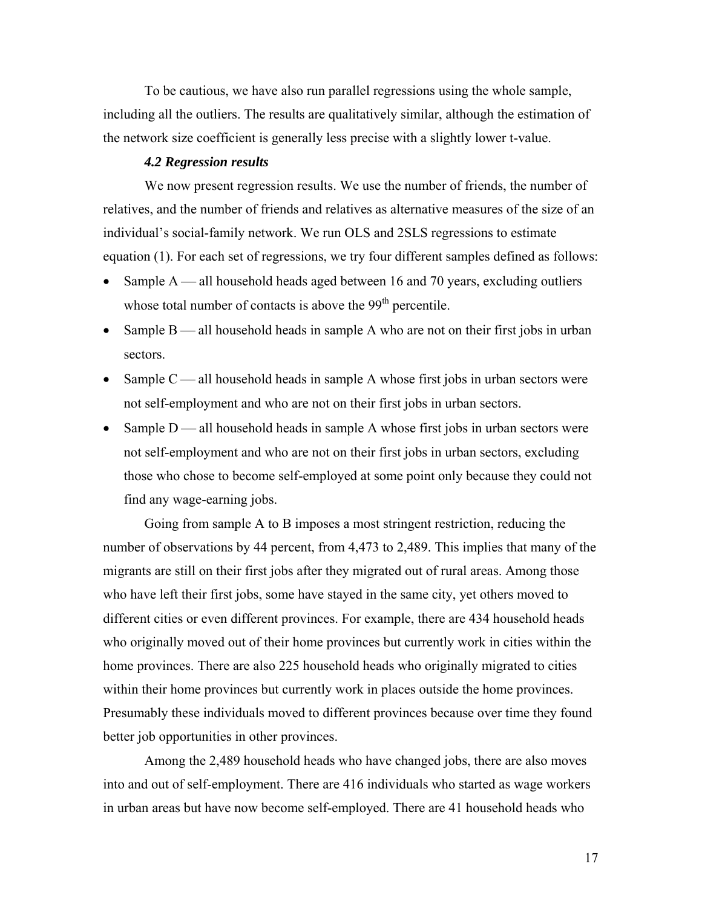To be cautious, we have also run parallel regressions using the whole sample, including all the outliers. The results are qualitatively similar, although the estimation of the network size coefficient is generally less precise with a slightly lower t-value.

### *4.2 Regression results*

We now present regression results. We use the number of friends, the number of relatives, and the number of friends and relatives as alternative measures of the size of an equation (1). For each set of regressions, we try four different samples defined as follows: individual's social-family network. We run OLS and 2SLS regressions to estimate

- Sample  $A$  all household heads aged between 16 and 70 years, excluding outliers whose total number of contacts is above the 99<sup>th</sup> percentile.
- Sample  $B$  all household heads in sample A who are not on their first jobs in urban sectors.
- not self-employment and who are not on their first jobs in urban sectors. • Sample  $C$  — all household heads in sample A whose first jobs in urban sectors were
- Sample  $D$  all household heads in sample A whose first jobs in urban sectors were those who chose to become self-employed at some point only because they could not not self-employment and who are not on their first jobs in urban sectors, excluding find any wage-earning jobs.

who originally moved out of their home provinces but currently work in cities within the home p rovinces. There are also 225 household heads who originally migrated to cities Going from sample A to B imposes a most stringent restriction, reducing the number of observations by 44 percent, from 4,473 to 2,489. This implies that many of the migrants are still on their first jobs after they migrated out of rural areas. Among those who have left their first jobs, some have stayed in the same city, yet others moved to different cities or even different provinces. For example, there are 434 household heads within their home provinces but currently work in places outside the home provinces. Presumably these individuals moved to different provinces because over time they found better job opportunities in other provinces.

Among the 2,489 household heads who have changed jobs, there are also moves into an d out of self-employment. There are 416 individuals who started as wage workers in urban areas but have now become self-employed. There are 41 household heads who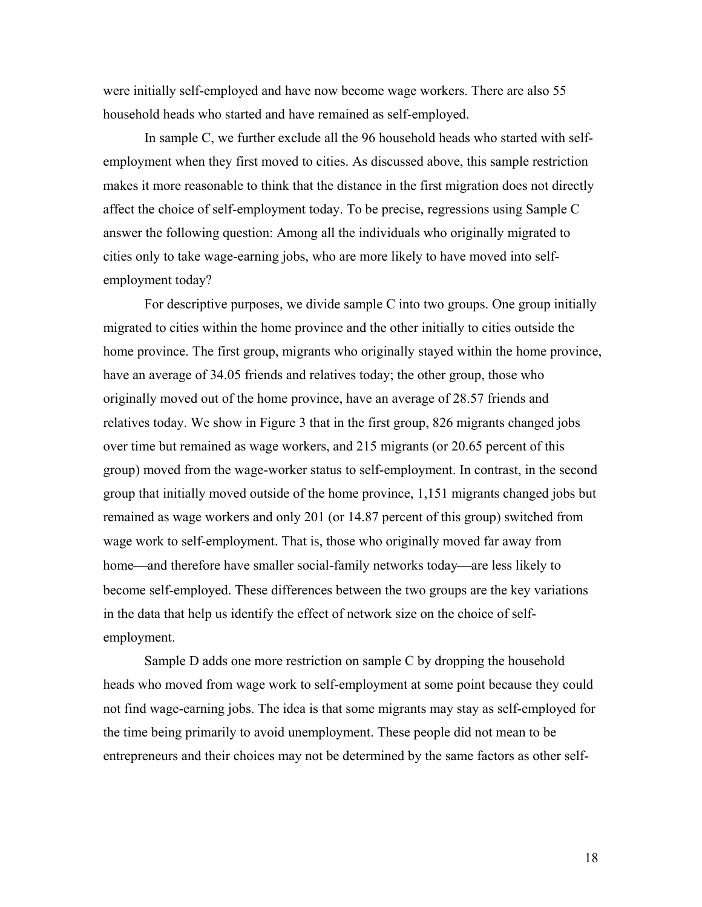were initially self-employed and have now become wage workers. There are also 55 household heads who started and have remained as self-employed.

In sample C, we further exclude all the 96 household heads who started with se lfemployment when they first moved to cities. As discussed above, this sample restriction makes it more reasona ble to think that the distance in the first migration does not directly affect t he choice of self-employment today. To be precise, regressions using Sample C answer the following question: Among all the individuals who originally migrated to cities only to take wage-earning jobs, who are more likely to have moved into selfemployment today?

For descriptive purposes, we divide sample  $C$  into two groups. One group initially home province. The first group, migrants who originally stayed within the home province, group) moved from the wage-worker status to self-employment. In contrast, in the second remained as wage workers and only 201 (or 14.87 percent of this group) switched from wage work to self-employment. That is, those who originally moved far away from home—and therefore have smaller social-family networks today—are less likely to migrated to cities within the home province and the other initially to cities outside the have an average of 34.05 friends and relatives today; the other group, those who originally moved out of the home province, have an average of 28.57 friends and relatives today. We show in Figure 3 that in the first group, 826 migrants changed jobs over time but remained as wage workers, and 215 migrants (or 20.65 percent of this group that initially moved outside of the home province, 1,151 migrants changed jobs but become self-employed. These differences between the two groups are the key variations in the data that help us identify the effect of network size on the choice of selfemployment.

heads who moved from wage work to self-employment at some point because they could not find wage-earning jobs. The idea is that some migrants may stay as self-employed for the time being primarily to avoid unemployment. These people did not mean to be entrepreneurs and their choices may not be determined by the same factors as other self-Sample D adds one more restriction on sample C by dropping the household

18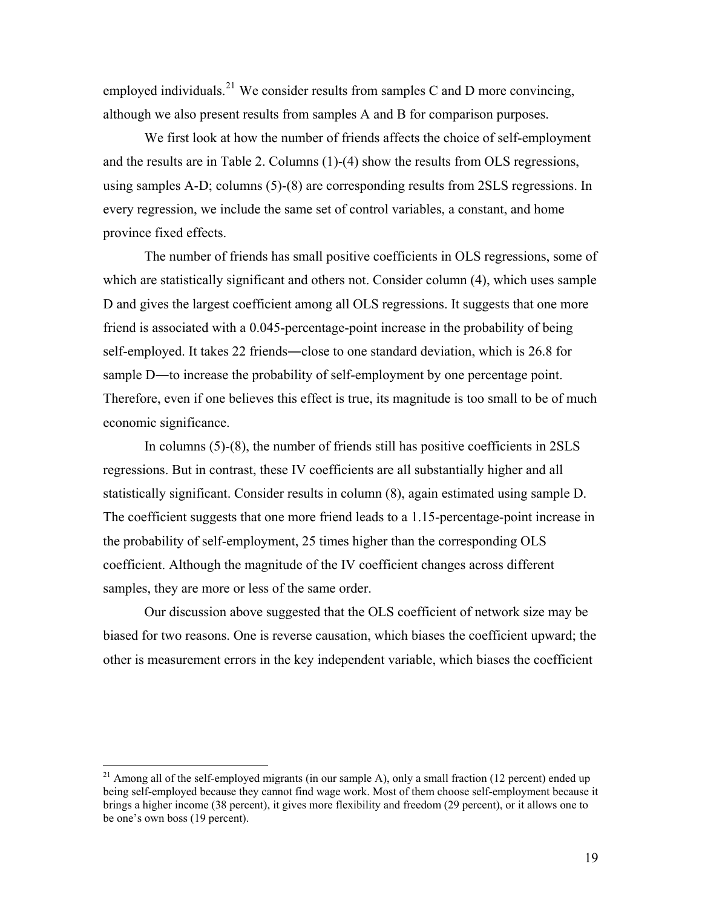employed individuals.<sup>21</sup> We consider results from samples C and D more convincing, although we also present results from samples A and B for comparison purposes.

and the results are in Table 2. Columns  $(1)-(4)$  show the results from OLS regressions, using samples  $A-D$ ; columns  $(5)-(8)$  are corresponding results from  $2SLS$  regressions. In every r egression, we include the same set of control variables, a constant, and home We first look at how the number of friends affects the choice of self-employment province fixed effects.

which are statistically significant and others not. Consider column (4), which uses sample D and gives the largest coefficient among all OLS regressions. It suggests that one more sample D—to increase the probability of self-employment by one percentage point. Therefore, even if one believes this effect is true, its magnitude is too small to be of much The number of friends has small positive coefficients in OLS regressions, some of friend is associated with a 0.045-percentage-point increase in the probability of being self-employed. It takes 22 friends―close to one standard deviation, which is 26.8 for economic significance.

statistically significant. Consider results in column (8), again estimated using sample D. The coefficient suggests that one more friend leads to a 1.15-percentage-point increase in the probability of self-employment, 25 times higher than the corresponding OLS coeffic ient. Although the magnitude of the IV coefficient changes across different In columns (5)-(8), the number of friends still has positive coefficients in 2SLS regressions. But in contrast, these IV coefficients are all substantially higher and all samples, they are more or less of the same order.

biased for two reasons. One is reverse causation, which biases the coefficient upward; the other is measurement errors in the key independent variable, which biases the coefficient Our discussion above suggested that the OLS coefficient of network size may be

<u>.</u>

<sup>&</sup>lt;sup>21</sup> Among all of the self-employed migrants (in our sample A), only a small fraction (12 percent) ended up being self-employed because they cannot find wage work. Most of them choose self-employment because it be one's own boss (19 percent). brings a higher income (38 percent), it gives more flexibility and freedom (29 percent), or it allows one to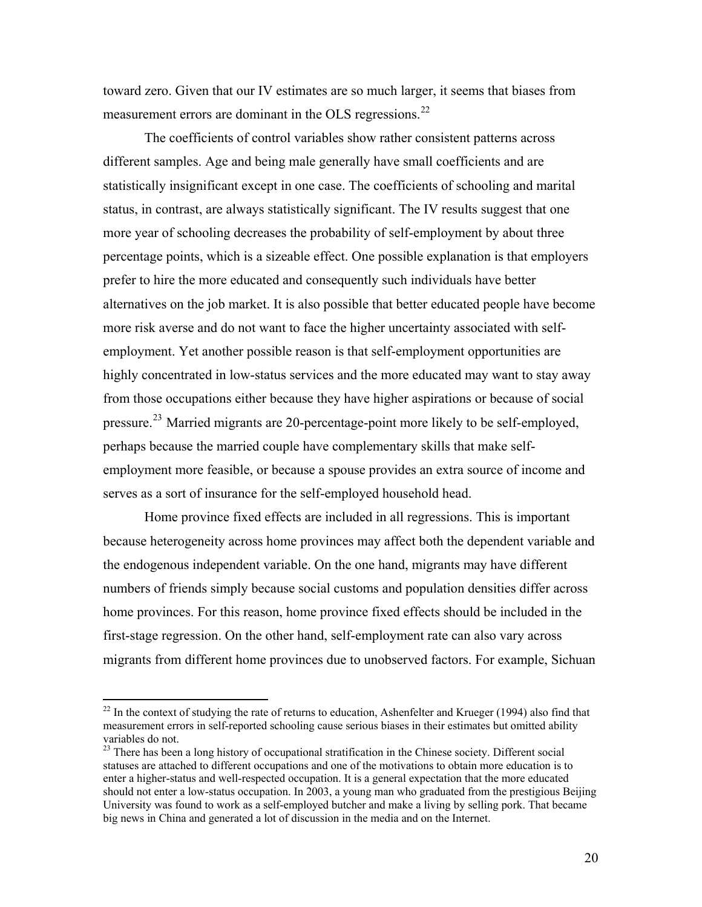<span id="page-20-0"></span>toward zero. Given that our IV estimates are so much larger, it seems that biases from measurement errors are dominant in the OLS regressions.<sup>[22](#page-20-0)</sup>

[The coefficients of control variables show rather consistent patterns acro](#page-20-0)ss [statistically insignificant except in one case. The coefficients of schooling and marita](#page-20-0)l [alternatives on the job market. It is also possible that better educated people hav](#page-20-0)e become [employment. Yet another possible reason is that self-employment op](#page-20-0)portunities are highly concentrated in low-status services and the more educated may want to stay away pressure.<sup>23</sup> Married migrants are 20-percentage-point more likely to be self-employed, [different samples. Age and being male generally have small coefficients and are](#page-20-0)  [status, in contrast, are always statistically significant. The IV results suggest that one](#page-20-0) [more year of schooling decreases the probability of self-employment by about three](#page-20-0)  [percentage points, which is a sizeable effect. One possible explanation is that employers](#page-20-0)  [prefer to hire the more educated and consequently such individuals have better](#page-20-0)  [more risk averse and do not want to face the higher uncertainty associated with self](#page-20-0)from those occupations either because they have higher aspirations or because of social perhaps because the married couple have complementary skills that make selfemployment more feasible, or because a spouse provides an extra source of income and serves as a sort of insurance for the self-employed household head.

because heterogeneity across home provinces may affect both the dependent variable and home provinces. For this reason, home province fixed effects should be included in the first-sta ge regression. On the other hand, self-employment rate can also vary across Home province fixed effects are included in all regressions. This is important the endogenous independent variable. On the one hand, migrants may have different numbers of friends simply because social customs and population densities differ across migrants from different home provinces due to unobserved factors. For example, Sichuan

 $\frac{1}{22}$  In the context of studying the rate of returns to education, Ashenfelter and Krueger (1994) also find that measurement errors in self-reported schooling cause serious biases in their estimates but omitted ability variables do not.

<sup>&</sup>lt;sup>23</sup> There has been a long history of occupational stratification in the Chinese society. Different social statuses are attached to different occupations and one of the motivations to obtain more education is to enter a higher-status and well-respected occupation. It is a general expectation that the more educated should not enter a low-status occupation. In 2003, a young man who graduated from the prestigious Beijing University was found to work as a self-employed butcher and make a living by selling pork. That became big news in China and generated a lot of discussion in the media and on the Internet.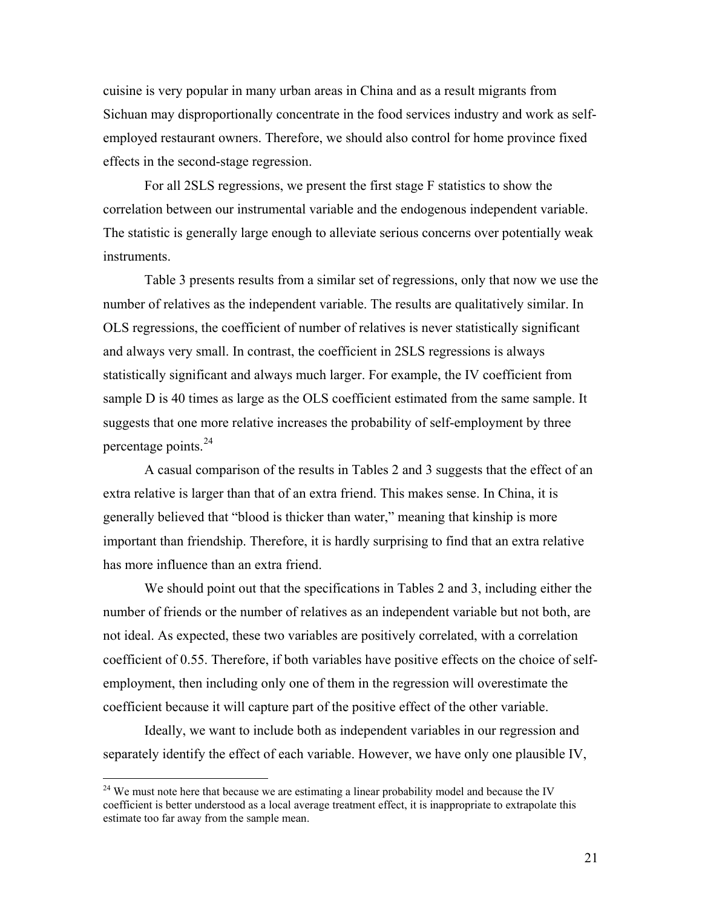cuisine is very popular in many urban areas in China and as a result migrants from Sichuan may disproportionally concentrate in the food services industry and work as selfemployed restaurant owners. Therefore, we should also control for home province fixed effects in the second-stage regression.

The statistic is generally large enough to alleviate serious concerns over potentially weak For all 2SLS regressions, we present the first stage F statistics to show the correlation between our instrumental variable and the endogenous independent variable. instruments.

number of relatives as the independent variable. The results are qualitatively similar. In OLS regressions, the coefficient of number of relatives is never statistically significant statistically significant and always much larger. For example, the IV coefficient from sample D is 40 times as large as the OLS coefficient estimated from the same sample. It Table 3 presents results from a similar set of regressions, only that now we use the and always very small. In contrast, the coefficient in 2SLS regressions is always suggests that one more relative increases the probability of self-employment by three percentage points.24

importa nt than friendship. Therefore, it is hardly surprising to find that an extra relative A casual comparison of the results in Tables 2 and 3 suggests that the effect of an extra relative is larger than that of an extra friend. This makes sense. In China, it is generally believed that "blood is thicker than water," meaning that kinship is more has more influence than an extra friend.

We should point out that the specifications in Tables 2 and 3, including either the coefficient of 0.55. Therefore, if both variables have positive effects on the choice of selfnumber of friends or the number of relatives as an independent variable but not both, are not ideal. As expected, these two variables are positively correlated, with a correlation employment, then including only one of them in the regression will overestimate the coefficient because it will capture part of the positive effect of the other variable.

Ideally, we want to include both as independent variables in our regression and separately identify the effect of each variable. However, we have only one plausible IV,

<sup>&</sup>lt;sup>24</sup> We must note here that because we are estimating a linear probability model and because the IV coefficient is better understood as a local average treatment effect, it is inappropriate to extrapolate this estimate too far away from the sample mean.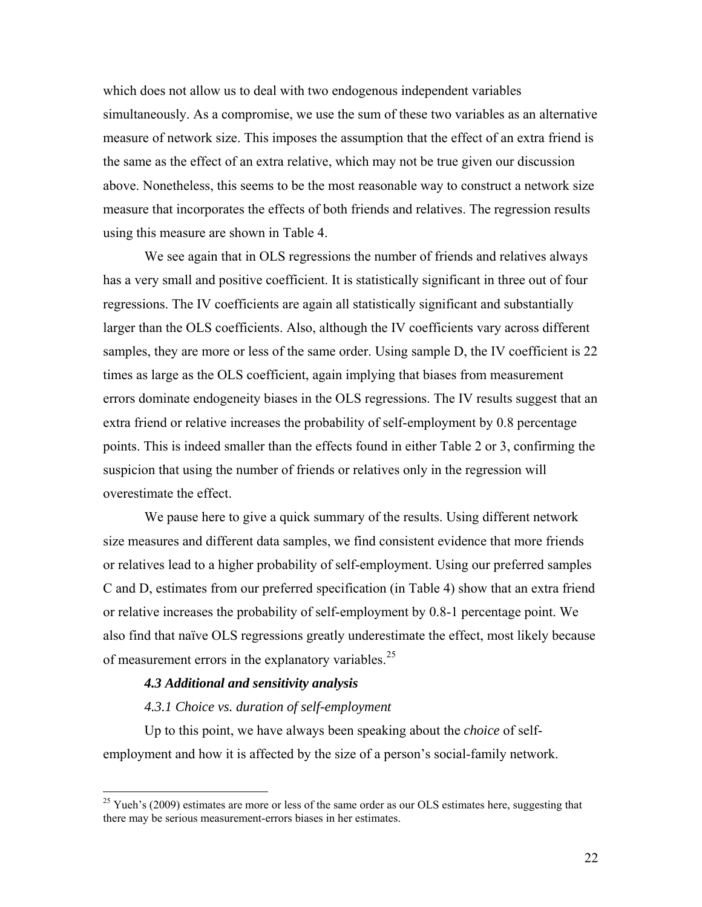which d oes not allow us to deal with two endogenous independent variables measure of network size. This imposes the assumption that the effect of an extra friend is measure that incorporates the effects of both friends and relatives. The regression results simultaneously. As a compromise, we use the sum of these two variables as an alternative the same as the effect of an extra relative, which may not be true given our discussion above. Nonetheless, this seems to be the most reasonable way to construct a network size using this measure are shown in Table 4.

We see again that in OLS regressions the number of friends and relatives always regressions. The IV coefficients are again all statistically significant and substantially larger than the OLS coefficients. Also, although the IV coefficients vary across different samples, they are more or less of the same order. Using sample D, the IV coefficient is 22 points. This is indeed smaller than the effects found in either Table 2 or 3, confirming the has a very small and positive coefficient. It is statistically significant in three out of four times as large as the OLS coefficient, again implying that biases from measurement errors dominate endogeneity biases in the OLS regressions. The IV results suggest that an extra friend or relative increases the probability of self-employment by 0.8 percentage suspicion that using the number of friends or relatives only in the regression will overestimate the effect.

We pause here to give a quick summary of the results. Using different network size measures and different data samples, we find consistent evidence that more friends or relatives lead to a higher probability of self-employment. Using our preferred samples C and D, estimates from our preferred specification (in Table 4) show that an extra friend also find that naïve OLS regressions greatly underestimate the effect, most likely because or relative increases the probability of self-employment by 0.8-1 percentage point. We of measurement errors in the explanatory variables.<sup>25</sup>

## *4.3 Additional and sensitivity analysis*

1

### *4.3.1 Choice vs. duration of self-employment*

Up to this point, we have always been speaking about the *choice* of selfemployment and how it is affected by the size of a person's social-family network.

 $^{25}$  Yueh's (2009) estimates are more or less of the same order as our OLS estimates here, suggesting that there may be serious measurement-errors biases in her estimates.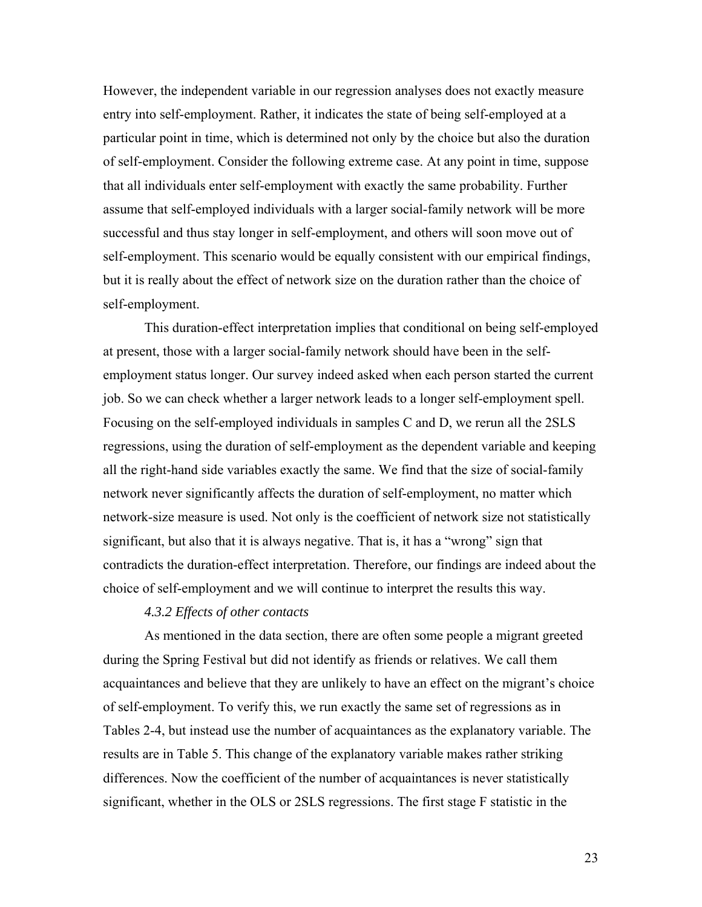However, the independent variable in our regression analyses does not exactly measure entry into self-employment. Rather, it indicates the state of being self-employed at a particular point in time, which is determined not only by the choice but also the duration of self-employment. Consider the following extreme case. At any point in time, suppose that all individuals enter self-employment with exactly the same probability. Further self-employment. This scenario would be equally consistent with our empirical findings, assume that self-employed individuals with a larger social-family network will be more successful and thus stay longer in self-employment, and others will soon move out of but it is really about the effect of network size on the duration rather than the choice of self-employment.

This duration-effect interpretation implies that conditional on being self-employed employment status longer. Our survey indeed asked when each person started the current Focusing on the self-employed individuals in samples C and D, we rerun all the  $2SLS$ regressions, using the duration of self-employment as the dependent variable and keeping all the r ight-hand side variables exactly the same. We find that the size of social-family network never significantly affects the duration of self-employment, no matter which at present, those with a larger social-family network should have been in the selfjob. So we can check whether a larger network leads to a longer self-employment spell. network-size measure is used. Not only is the coefficient of network size not statistically significant, but also that it is always negative. That is, it has a "wrong" sign that contradicts the duration-effect interpretation. Therefore, our findings are indeed about the choice of self-employment and we will continue to interpret the results this way.

# *4.3.2 Effects of other contacts*

As mentioned in the data section, there are often some people a migrant greeted during the Spring Festival but did not identify as friends or relatives. We call them Tables 2-4, but instead use the number of acquaintances as the explanatory variable. The significant, whether in the OLS or 2SLS regressions. The first stage F statistic in the acquaintances and believe that they are unlikely to have an effect on the migrant's choice of self-employment. To verify this, we run exactly the same set of regressions as in results are in Table 5. This change of the explanatory variable makes rather striking differences. Now the coefficient of the number of acquaintances is never statistically

23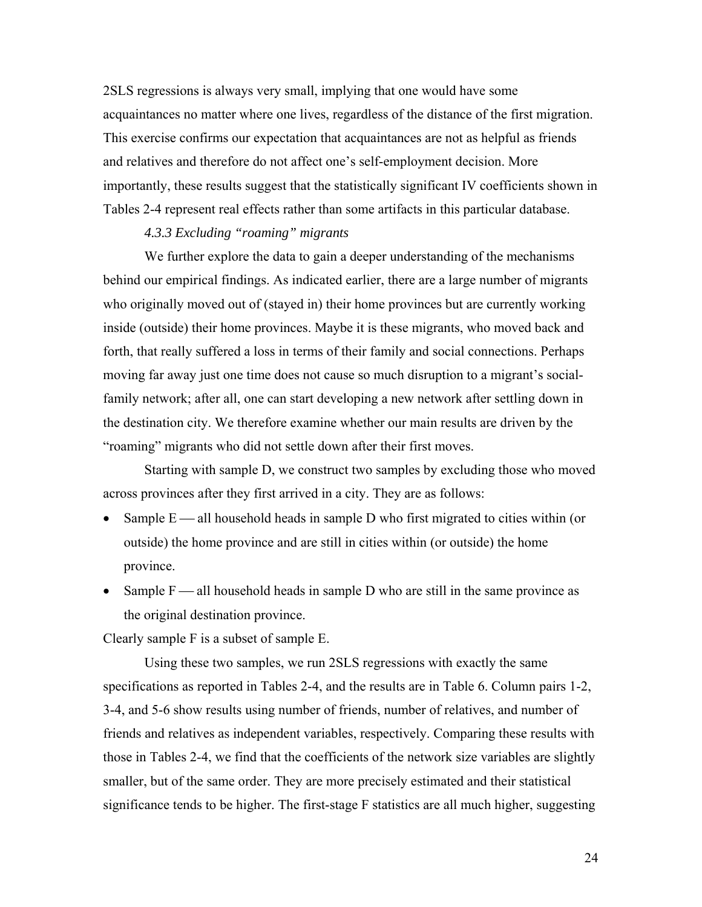2SLS r egressions is always very small, implying that one would have some importantly, these results suggest that the statistically significant IV coefficients shown in acquaintances no matter where one lives, regardless of the distance of the first migration. This exercise confirms our expectation that acquaintances are not as helpful as friends and relatives and therefore do not affect one's self-employment decision. More Tables 2-4 represent real effects rather than some artifacts in this particular database.

### *4.3.3 Excluding "roaming" migrants*

behind our empirical findings. As indicated earlier, there are a large number of migrants who originally moved out of (stayed in) their home provinces but are currently working inside (outside) their home provinces. Maybe it is these migrants, who moved back and moving far away just one time does not cause so much disruption to a migrant's socialfamily network; after all, one can start developing a new network after settling down in "roaming" migrants who did not settle down after their first moves. We further explore the data to gain a deeper understanding of the mechanisms forth, that really suffered a loss in terms of their family and social connections. Perhaps the destination city. We therefore examine whether our main results are driven by the

Starting with sample D, we construct two samples by excluding those who moved across provinces after they first arrived in a city. They are as follows:

- Sample  $E$  all household heads in sample D who first migrated to cities within (or outside) the home province and are still in cities within (or outside) the home province.
- Sample  $F$  all household heads in sample D who are still in the same province as the original destination province.

Clearly sample F is a subset of sample E.

friends and relatives as independent variables, respectively. Comparing these results with smaller, but of the same order. They are more precisely estimated and their statistical significance tends to be higher. The first-stage F statistics are all much higher, suggesting Using these two samples, we run 2SLS regressions with exactly the same specifications as reported in Tables 2-4, and the results are in Table 6. Column pairs 1-2, 3-4, and 5-6 show results using number of friends, number of relatives, and number of those in Tables 2-4, we find that the coefficients of the network size variables are slightly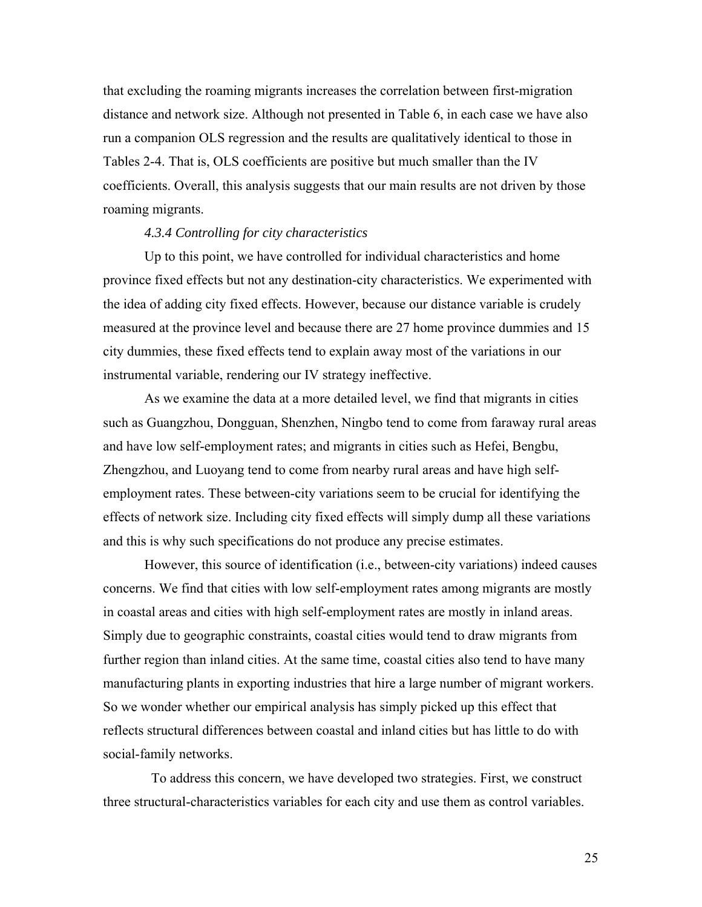that excluding the roaming migrants increases the correlation between first-migration coefficients. Overall, this analysis suggests that our main results are not driven by those distance and network size. Although not presented in Table 6, in each case we have also run a companion OLS regression and the results are qualitatively identical to those in Tables 2-4. That is, OLS coefficients are positive but much smaller than the IV roaming migrants.

### *4.3.4 Controlling for city characteristics*

province fixed effects but not any destination-city characteristics. We experimented with the idea of adding city fixed effects. However, because our distance variable is crudely Up to this point, we have controlled for individual characteristics and home measured at the province level and because there are 27 home province dummies and 15 city dummies, these fixed effects tend to explain away most of the variations in our instrumental variable, rendering our IV strategy ineffective.

As we examine the data at a more detailed level, we find that migrants in cities such as Guangzhou, Dongguan, Shenzhen, Ningbo tend to come from faraway rural areas and have low self-employment rates; and migrants in cities such as Hefei, Bengbu, Zhengzhou, and Luoyang tend to come from nearby rural areas and have high selfemployment rates. These between-city variations seem to be crucial for identifying the effects of network size. Including city fixed effects will simply dump all these variations and this is why such specifications do not produce any precise estimates.

However, this source of identification (i.e., between-city variations) indeed causes concerns. We find that cities with low self-employment rates among migrants are mostly in coas tal areas and cities with high self-employment rates are mostly in inland areas. manufacturing plants in exporting industries that hire a large number of migrant workers. Simply due to geographic constraints, coastal cities would tend to draw migrants from further region than inland cities. At the same time, coastal cities also tend to have many So we wonder whether our empirical analysis has simply picked up this effect that reflects structural differences between coastal and inland cities but has little to do with social-family networks.

three structural-characteristics variables for each city and use them as control variables. To address this concern, we have developed two strategies. First, we construct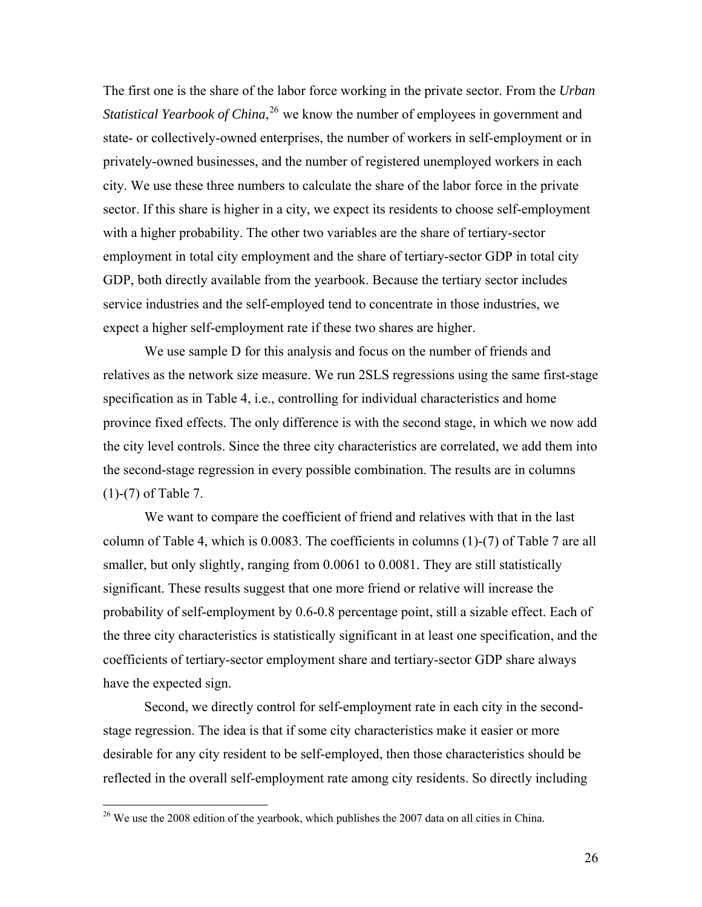<span id="page-26-0"></span>The first one is the share of the labor force working in the private sector. From the *Urban Statistical Yearbook of China*, <sup>[26](#page-26-0)</sup> we know the number of employees in government and state- or collectively-owned enterprises, the number of workers in self-employment or in privately-owned businesses, and the number of registered unemployed workers in each city. We use these three numbers to calculate the share of the labor force in the private sector. If this share is higher in a city, we expect its residents to choose self-employment employment in total city employment and the share of tertiary-sector GDP in total city with a higher probability. The other two variables are the share of tertiary-sector GDP, both directly available from the yearbook. Because the tertiary sector includes service industries and the self-employed tend to concentrate in those industries, we expect a higher self-employment rate if these two shares are higher.

We use sample D for this analysis and focus on the number of friends and relatives as the network size measure. We run 2SLS regressions using the same first-stage province fixed effects. The only difference is with the second stage, in which we now add the city level controls. Since the three city characteristics are correlated, we add them into specification as in Table 4, i.e., controlling for individual characteristics and home the second-stage regression in every possible combination. The results are in columns (1)-(7) of Table 7.

column of Table 4, which is  $0.0083$ . The coefficients in columns  $(1)-(7)$  of Table 7 are all smaller , but only slightly, ranging from 0.0061 to 0.0081. They are still statistically probability of self-employment by 0.6-0.8 percentage point, still a sizable effect. Each of coefficients of tertiary-sector employment share and tertiary-sector GDP share always We want to compare the coefficient of friend and relatives with that in the last significant. These results suggest that one more friend or relative will increase the the three city characteristics is statistically significant in at least one specification, and the have the expected sign.

Second, we directly control for self-employment rate in each city in the secondstage regression. The idea is that if some city characteristics make it easier or more desirable for any city resident to be self-employed, then those characteristics should be reflected in the overall self-employment rate among city residents. So directly including

 $26$  We use the 2008 edition of the yearbook, which publishes the 2007 data on all cities in China.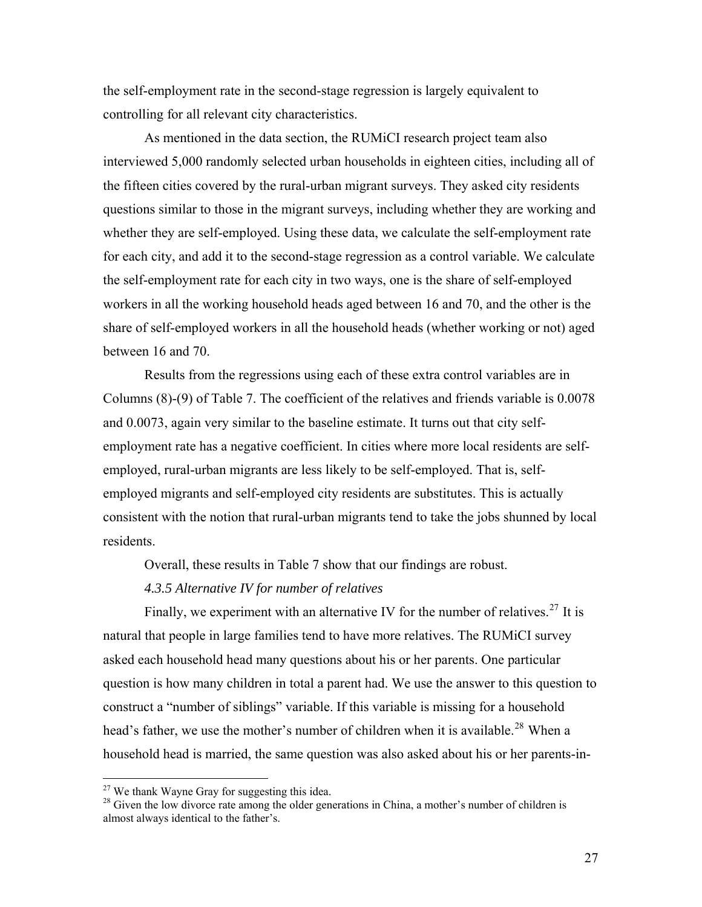<span id="page-27-0"></span>the self-employment rate in the second-stage regression is largely equivalent to controlling for all relevant city characteristics.

As mentioned in the data section, the RUMiCI research project team also interviewed 5,000 randomly selected urban households in eighteen cities, including all of the fifteen cities covered by the rural-urban migrant surveys. They asked city residents questions similar to those in the migrant surveys, including whether they are working and for each city, and add it to the second-stage regression as a control variable. We calculate workers in all the working household heads aged between 16 and 70, and the other is the share of self-employed workers in all the household heads (whether working or not) aged whether they are self-employed. Using these data, we calculate the self-employment rate the self-employment rate for each city in two ways, one is the share of self-employed between 16 and 70.

Results from the regressions using each of these extra control variables are in Columns  $(8)$ - $(9)$  of Table 7. The coefficient of the relatives and friends variable is 0.0078 and 0.0073, again very similar to the baseline estimate. It turns out that city selfemploy ment rate has a negative coefficient. In cities where more local residents are selfemployed, rural-urban migrants are less likely to be self-employed. That is, selfemployed migrants and self-employed city residents are substitutes. This is actually consistent with the notion that rural-urban migrants tend to take the jobs shunned by local residents.

Overall, these results in Table 7 show that our findings are robust.

*4.3.5 Alternative IV for number of relatives* 

Finally, we experiment with an alternative IV for the number of relatives.<sup>27</sup> It is construct a "number of siblings" variable. If this variable is missing for a household natural that people in large families tend to have more relatives. The RUMiCI survey asked each household head many questions about his or her parents. One particular question is how many children in total a parent had. We use the answer to this question to head's father, we use the mother's number of children when it is available.<sup>[28](#page-28-0)</sup> When a household head is married, the same question was also asked about his or her parents-in-

1

 $27$  We thank Wayne Gray for suggesting this idea.

<sup>&</sup>lt;sup>28</sup> Given the low divorce rate among the older generations in China, a mother's number of children is almost always identical to the father's.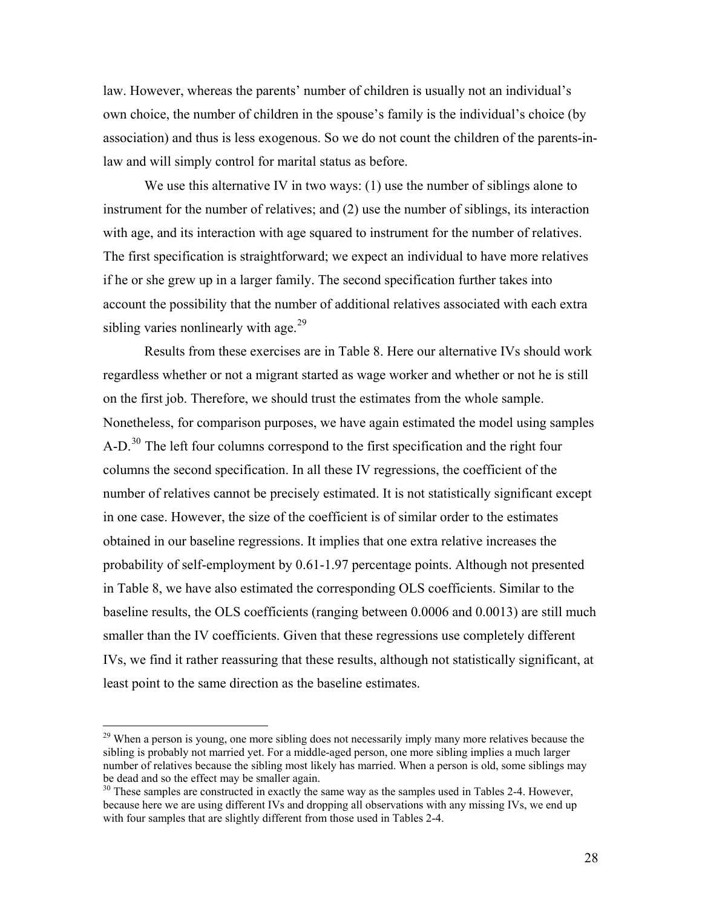<span id="page-28-0"></span>law. However, whereas the parents' number of children is usually not an individual's own choice, the number of children in the spouse's family is the individual's choic e (by association) and thus is less exogenous. So we do not count the children of the parents-in law and will simply control for marital status as before.

with age, and its interaction with age squared to instrument for the number of relatives. account the possibility that the number of additional relatives associated with each extra We use this alternative IV in two ways: (1) use the number of siblings alone to instrument for the number of relatives; and (2) use the number of siblings, its interaction The first specification is straightforward; we expect an individual to have more relatives if he or she grew up in a larger family. The second specification further takes into sibling varies nonlinearly with age. $^{29}$  $^{29}$  $^{29}$ 

Results from these exercises are in Table 8. Here our alternative IVs should work regardless whether or not a migrant started as wage worker and whether or not he is still Nonetheless, for comparison purposes, we have again estimated the model using samples in one case. However, the size of the coefficient is of similar order to the estimates obtaine d in our baseline regressions. It implies that one extra relative increases the baseline results, the OLS coefficients (ranging between 0.0006 and 0.0013) are still much smaller than the IV coefficients. Given that these regressions use completely different IVs, we find it rather reassuring that these results, although not statistically significant, at on the first job. Therefore, we should trust the estimates from the whole sample. A-D.<sup>[30](#page-28-0)</sup> The left four columns correspond to the first specification and the right four columns the second specification. In all these IV regressions, the coefficient of the number of relatives cannot be precisely estimated. It is not statistically significant except probability of self-employment by 0.61-1.97 percentage points. Although not presented in Table 8, we have also estimated the corresponding OLS coefficients. Similar to the least point to the same direction as the baseline estimates.

<sup>&</sup>lt;sup>29</sup> When a person is young, one more sibling does not necessarily imply many more relatives because the sibling is probably not married yet. For a middle-aged person, one more sibling implies a much larger number of relatives because the sibling most likely has married. When a per son is old, some siblings may be dead and so the effect may be smaller again.

<sup>&</sup>lt;sup>30</sup> These samples are constructed in exactly the same way as the samples used in Tables 2-4. However, because here we are using different IVs and dropping all observations with any missing IVs, we end up with four samples that are slightly different from those used in Tables 2-4.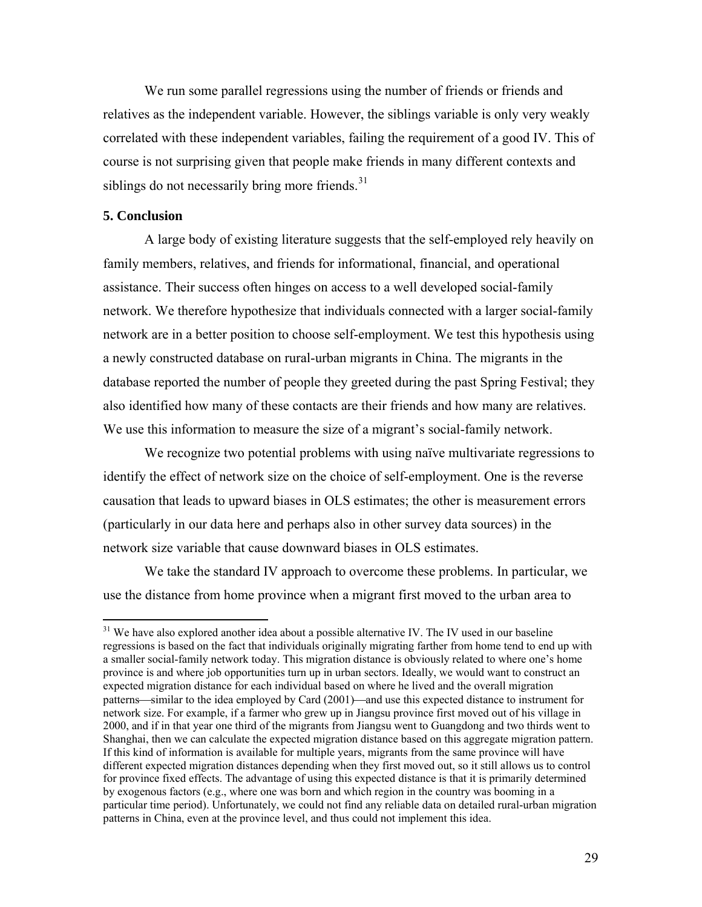We run some parallel regressions using the number of friends or friends and relative s as the independent variable. However, the siblings variable is only very weakly correlated with these independent variables, failing the requirement of a good IV. This of course is not surprising given that people make friends in many different contexts and siblings do not necessarily bring more friends.<sup>31</sup>

### **5. Conclusion**

1

A large body of existing literature suggests that the self-employed rely heavily on network. We therefore hypothesize that individuals connected with a larger social-family networ k are in a better position to choose self-employment. We test this hypothesis using also identified how many of these contacts are their friends and how many are relatives. family members, relatives, and friends for informational, financial, and operational assistance. Their success often hinges on access to a well developed social-family a newly constructed database on rural-urban migrants in China. The migrants in the database reported the number of people they greeted during the past Spring Festival; they We use this information to measure the size of a migrant's social-family network.

identify the effect of network size on the choice of self-employment. One is the reverse causation that leads to upward biases in OLS estimates; the other is measurement errors We recognize two potential problems with using naïve multivariate regressions to (particularly in our data here and perhaps also in other survey data sources) in the network size variable that cause downward biases in OLS estimates.

We take the standard IV approach to overcome these problems. In particular, we use the distance from home province when a migrant first moved to the urban area to

<sup>&</sup>lt;sup>31</sup> We have also explored another idea about a possible alternative IV. The IV used in our baseline regressions is based on the fact that individuals originally migrating farther from home tend to end up with a smaller social-family network today. This migration distance is obviously related to where one's home province is and where job opportunities turn up in urban sectors. Ideally, we would want to construct an expected migration distance for each individual based on where he lived and the overall migration patterns—similar to the idea employed by Card (2001)—and use this expected distance to instrument for network size. For example, if a farmer who grew up in Jiangsu province first moved out of his village in 2000, and if in that year one third of the migrants from Jiangsu went to Guangdong and two thirds went to Shanghai, then we can calculate the expected migration distance based on this aggregate migration pattern. If this kind of information is available for multiple years, migrants from the same province will have different expected migration distances depending when they first moved out, so it still allows us to control for province fixed effects. The advantage of using this expected distance is that it is primarily determined by exogenous factors (e.g., where one was born and which region in the country was booming in a particular time period). Unfortunately, we could not find any reliable data on detailed rural-urban migration patterns in China, even at the province level, and thus could not implement this idea.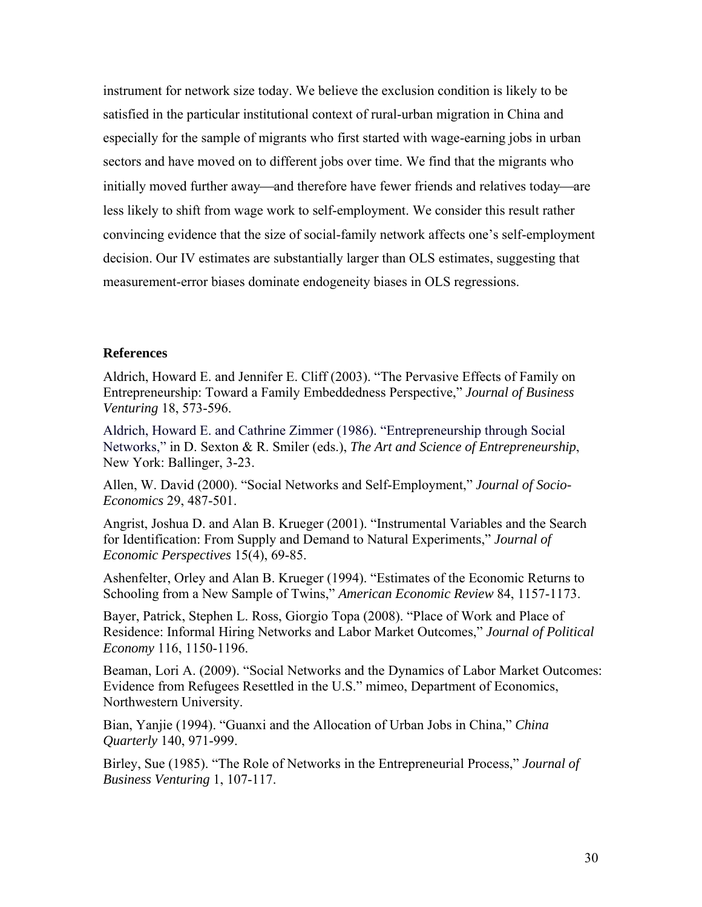instrument for network size today. We believe the exclusion condition is likely to be satisfied in the particular institutional context of rural-urban migration in China and especially for the sample of migrants who first started with wage-earning jobs in urban sectors and have moved on to different jobs over time. We find that the migrants who initially moved further away—and therefore have fewer friends and relatives today—are decision. Our IV estimates are substantially larger than OLS estimates, suggesting that less likely to shift from wage work to self-employment. We consider this result rather convincing evidence that the size of social-family network affects one's self-employment measurement-error biases dominate endogeneity biases in OLS regressions.

### **References**

Aldrich, Howard E. and Jennifer E. Cliff (2003). "The Pervasive Effects of Family on Entrepreneurship: Toward a Family Embeddedness Perspective," *Journal of Business Venturing* 18, 573-596.

Aldrich, Howard E. and Cathrine Zimmer (1986). "Entrepreneurship through Social Networks," in D. Sexton & R. Smiler (eds.), *The Art and Science of Entrepreneurshi p*, New York: Ballinger, 3-23.

Allen, W. David (2000). "Social Networks and Self-Employment," *Journal of Socio-Economics* 29, 487-501.

Angrist, Joshua D. and Alan B. Krueger (2001). "Instrumental Variables and the Search for Identification: From Supply and Demand to Natural Experiments," *Journal of Economic Perspectives* 15(4), 69-85.

Ashenfelter, Orley and Alan B. Krueger (1994). "Estimates of the Economic Returns to Schooling from a New Sample of Twins," *American Economic Review* 84, 1157-1173.

Bayer, Patrick, Stephen L. Ross, Giorgio Topa (2008). "Place of Work and Place of Residence: Informal Hiring Networks and Labor Market Outcomes," *Journal of Political Economy* 116, 1150-1196.

Beaman, Lori A. (2009). "Social Networks and the Dynamics of Labor Market Outcomes: Evidence from Refugees Resettled in the U.S." mimeo, Department of Economics, Northwestern University.

Bian, Yanjie (1994). "Guanxi and the Allocation of Urban Jobs in China," *China Quarterly* 140, 971-999.

Birley, Sue (1985). "The Role of Networks in the Entrepreneurial Process," *Journal of Business Venturing* 1, 107-117.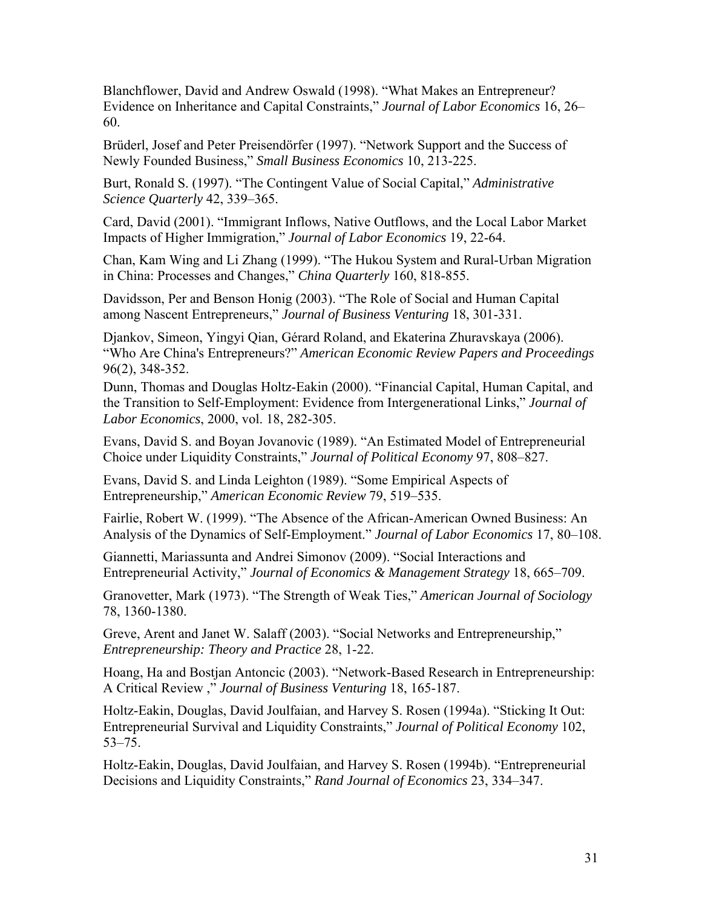Blanchflower, David and Andrew Oswald (1998). "What Makes an Entrepreneur? Evidence on Inheritance and Capital Constraints," *Journal of Labor Economics* 16, 26– 60.

Brüderl, Josef and Peter Preisendörfer (1997). "Network Support and the Success of Newly Founded Business," *Small Business Economics* 10, 213-225.

*Science Quarterly* 42, 339–365. Burt, Ronald S. (1997). "The Contingent Value of Social Capital," *Administrative* 

Card, David (2001). "Immigrant Inflows, Native Outflows, and the Local Labor Market Impacts of Higher Immigration," *Journal of Labor Economics* 19, 22-64.

Chan, Kam Wing and Li Zhang (1999). "The Hukou System and Rural-Urban Migration in China: Processes and Changes," *China Quarterly* 160, 818-855.

Davidsson, Per and Benson Honig (2003). "The Role of Social and Human Capital among Nascent Entrepreneurs," *Journal of Business Venturing* 18, 301-331.

Djankov, Simeon, Yingyi Qian, Gérard Roland, and Ekaterina Zhuravskaya (2006). "Who Are China's Entrepreneurs?" *American Economic Review Papers and Proceedings* 96(2), 348-352.

Dunn, Thomas and Douglas Holtz-Eakin (2000). "Financial Capital, Human C apital, and the Transition to Self-Employment: Evidence from Intergenerational Links," *Journal of Labor Economics*, 2000, vol. 18, 282-305.

Evans, David S. and Boyan Jovanovic (1989). "An Estimated Model of Entrepreneurial Choice under Liquidity Constraints," *Journal of Political Economy* 97, 808–827.

Evans, David S. and Linda Leighton (1989). "Some Empirical Aspects of Entrepreneurship," *American Economic Review* 79, 519–535.

Fairlie, Robert W. (1999). "The Absence of the African-American Owned Business: An 8. Analysis of the Dynamics of Self-Employment." *Journal of Labor Economics* 17, 80–10

Entrepreneurial Activity," Journal of Economics & Management Strategy 18, 665–709. Giannetti, Mariassunta and Andrei Simonov (2009). "Social Interactions and

Granovetter, Mark (1973). "The Strength of Weak Ties," *American Journal of Sociology* 78, 1360-1380.

Greve, Arent and Janet W. Salaff (2003). "Social Networks and Entrepreneurship," *Entrepreneurship: Theory and Practice* 28, 1-22.

Hoang, Ha and Bostjan Antoncic (2003). "Network-Based Research in Entrepreneurship: A Critical Review ," *Journal of Business Venturing* 18, 165-187.

Holtz-Eakin, Douglas, David Joulfaian, and Harvey S. Rosen (1994a). "Sticking It Out: Entrepreneurial Survival and Liquidity Constraints," *Journal of Political Economy* 102, 53–75.

Holtz-Eakin, Douglas, David Joulfaian, and Harvey S. Rosen (1994b). "Entrepreneurial Decisions and Liquidity Constraints," *Rand Journal of Economics* 23, 334–347.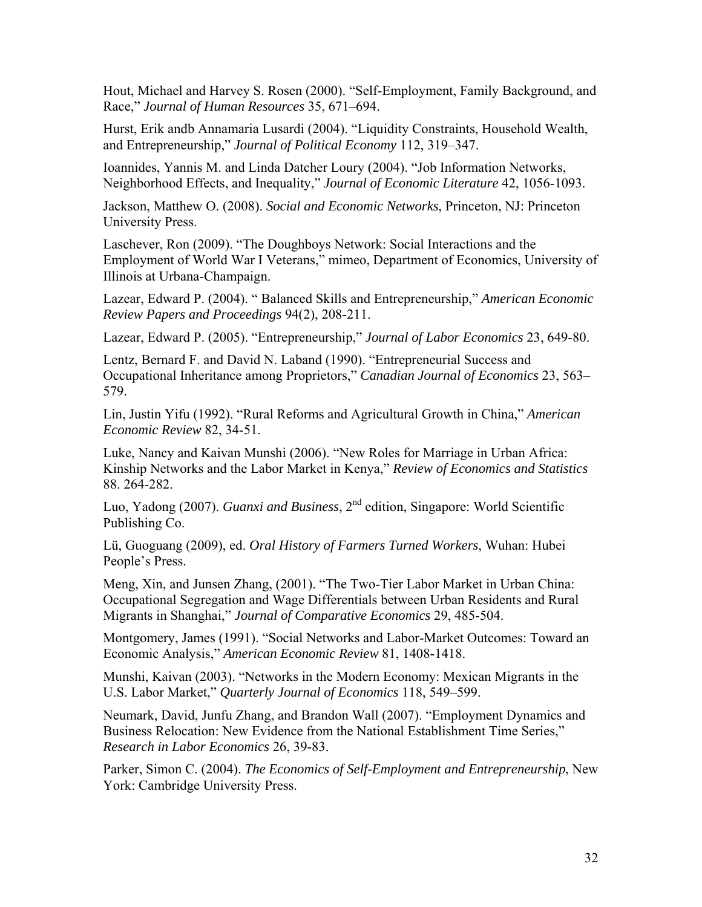Hout, Michael and Harvey S. Rosen (2000). "Self-Employment, Family Background, and Race," *Journal of Human Resources* 35, 671–694.

Hurst, Erik andb Annamaria Lusardi (2004). "Liquidity Constraints, Household Wealth, and Entrepreneurship," *Journal of Political Economy* 112, 319–347.

Ioannides, Yannis M. and Linda Datcher Loury (2004). "Job Information Networks, Neighborhood Effects, and Inequality," *Journal of Economic Literature* 42, 1056-1093.

Jackson, Matthew O. (2008). *Social and Economic Networks*, Princeton, NJ: Princeton University Press.

Laschever, Ron (2009). "The Doughboys Network: Social Interactions and the Employment of World War I Veterans," mimeo, Department of Economics, University of Illinois at Urbana-Champaign.

Lazear, Edward P. (2004). " Balanced Skills and Entrepreneurship," *American Economic Review Papers and Proceedings* 94(2), 208-211.

Lazear, Edward P. (2005). "Entrepreneurship," *Journal of Labor Economics* 23, 649-80.

Lentz, Bernard F. and David N. Laband (1990). "Entrepreneurial Success and Occupational Inheritance among Proprietors," *Canadian Journal of Economics* 23, 563– 579.

Lin, Justin Yifu (1992). "Rural Reforms and Agricultural Growth in China," *American Economic Review* 82, 34-51.

Luke, Nancy and Kaivan Munshi (2006). "New Roles for Marriage in Urban Africa: Kinship Networks and the Labor Market in Kenya," *Review of Economics and Statistics*  88. 264-282.

Luo, Yadong (2007). *Guanxi and Business*, 2nd edition, Singapore: World Scientific Publishing Co.

Lü, Guoguang (2009), ed. *Oral History of Farmers Turned Workers*, Wuhan: Hubei People's Press.

Meng, Xin, and Junsen Zhang, (2001). "The Two-Tier Labor Market in Urban China: Occupational Segregation and Wage Differentials between Urban Residents and Rural Migrants in Shanghai," *Journal of Comparative Economics* 29, 485-504.

Montgomery, James (1991). "Social Networks and Labor-Market Outcomes: Toward an Economic Analysis," *American Economic Review* 81, 1408-1418.

Munshi, Kaivan (2003). "Networks in the Modern Economy: Mexican Migrants in the U.S. Labor Market," *Quarterly Journal of Economics* 118, 549–599.

Neumark, David, Junfu Zhang, and Brandon Wall (2007). "Employment Dynamics and Business Relocation: New Evidence from the National Establishment Time Series," *Research in Labor Economics* 26, 39-83.

Parker, Simon C. (2004). *The Economics of Self-Employment and Entrepreneurship*, New York: Cambridge University Press.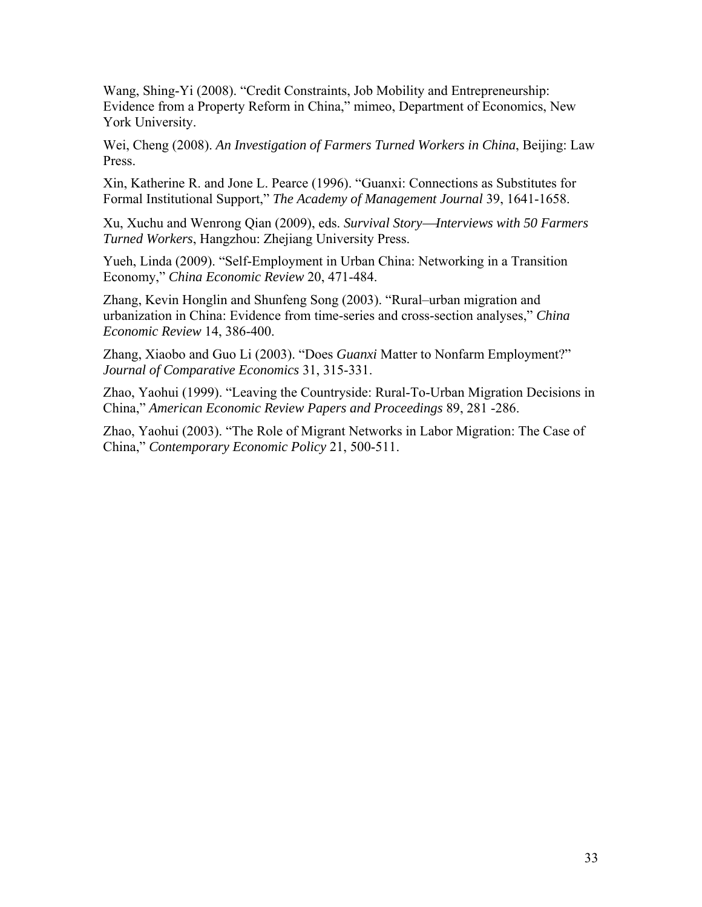Wang, Shing-Yi (2008). "Credit Constraints, Job Mobility and Entrepreneurship: Evidence from a Property Reform in China," mimeo, Department of Economics, New York University.

Wei, Cheng (2008). *An Investigation of Farmers Turned Workers in China*, Beijing: L aw Press.

Formal Institutional Support," The Academy of Management Journal 39, 1641-1658. Xin, Katherine R. and Jone L. Pearce (1996). "Guanxi: Connections as Substitutes for

Xu, Xuchu and Wenrong Qian (2009), eds. *Survival Story—Interviews with 50 Farmers Turned Workers*, Hangzhou: Zhejiang University Press.

Yueh, Linda (2009). "Self-Employment in Urban China: Networking in a Transition Economy," *China Economic Review* 20, 471-484.

Zhang, Kevin Honglin and Shunfeng Song (2003). "Rural–urban migration and urbanization in China: Evidence from time-series and cross-section analyses," *China Economic Review* 14, 386-400.

Zhang, Xiaobo and Guo Li (2003). "Does *Guanxi* Matter to Nonfarm Employment?" *Journal of Comparative Economics* 31, 315-331.

Zhao, Yaohui (1999). "Leaving the Countryside: Rural-To-Urban Migration Decisions in China," *American Economic Review Papers and Proceedings* 89, 281 -286.

Zhao, Yaohui (2003). "The Role of Migrant Networks in Labor Migration: The Case of China," *Contemporary Economic Policy* 21, 500-511.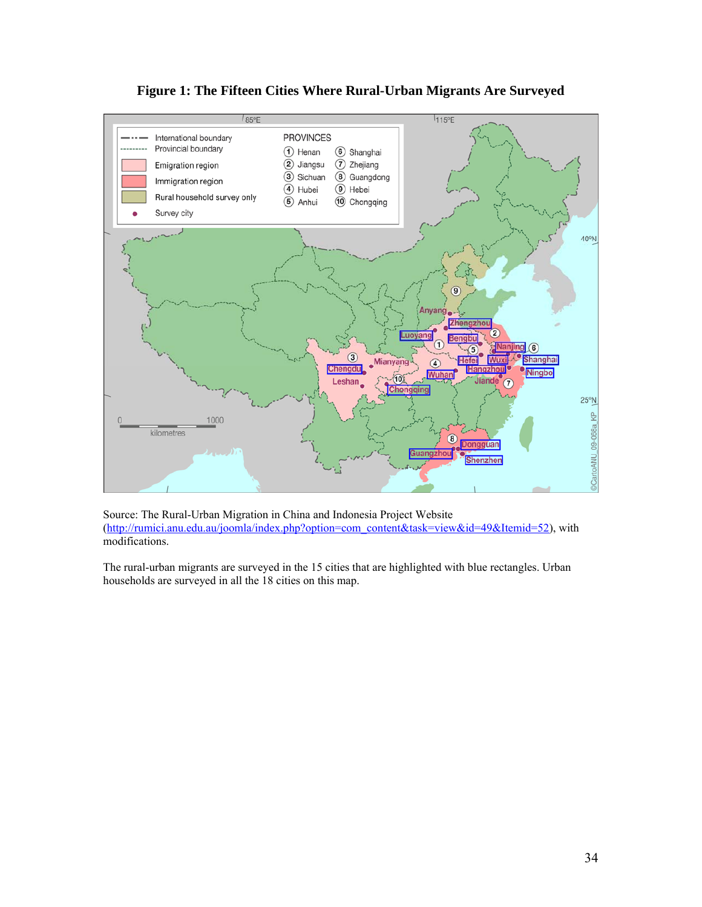

**Figure 1: The Fifteen Cities Where Rural-Urban Migrants Are Surveyed**

Source: The Rural-Urban Migration in China and Indonesia Project Website [\(http://rumici.anu.edu.au/joomla/index.php?option=com\\_content&task=view&id=49&Itemid=52](http://rumici.anu.edu.au/joomla/index.php?option=com_content&task=view&id=49&Itemid=52)), with modifications.

The rural-urban migrants are surveyed in the 15 cities that are highlighted with blue rectangles. Urban households are surveyed in all the 18 cities on this map.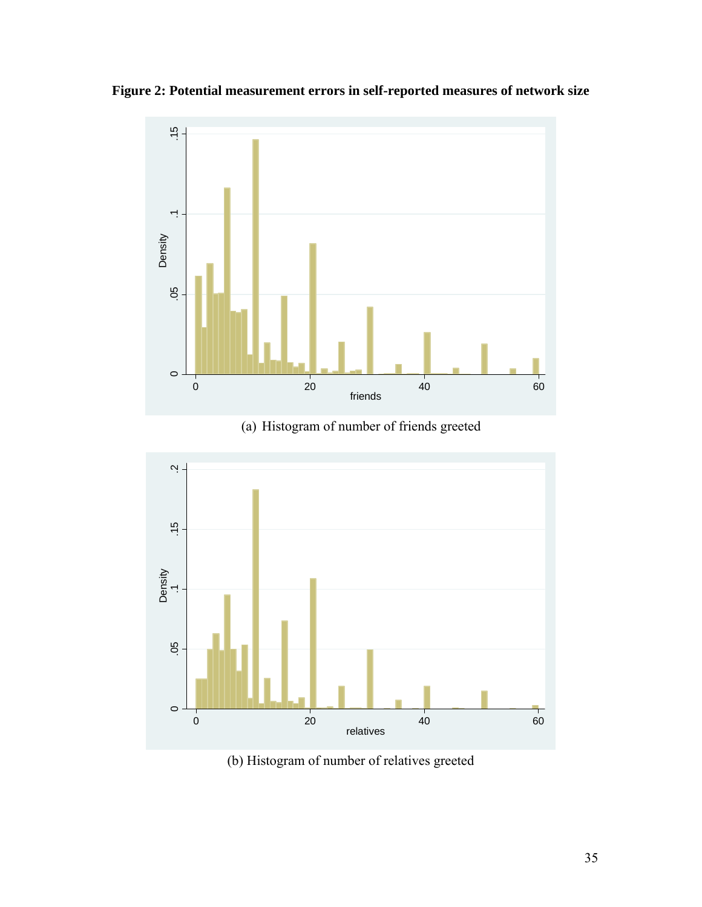



# (a) Histogram of number of friends greeted



(b) Histogram of number of relatives greeted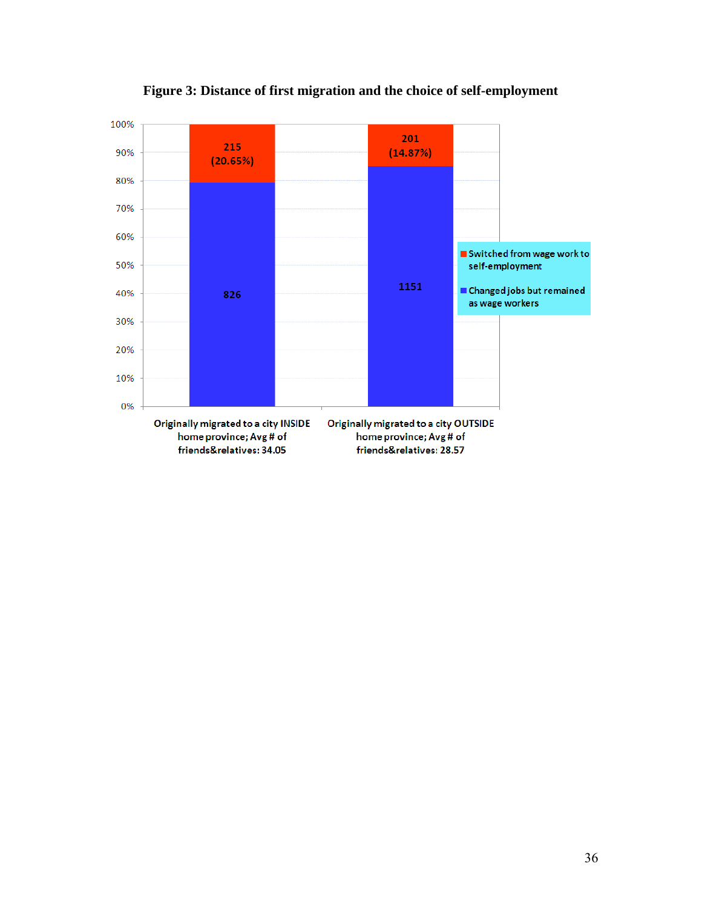

**Figure 3: Distance of first migration and the choice of self-employment**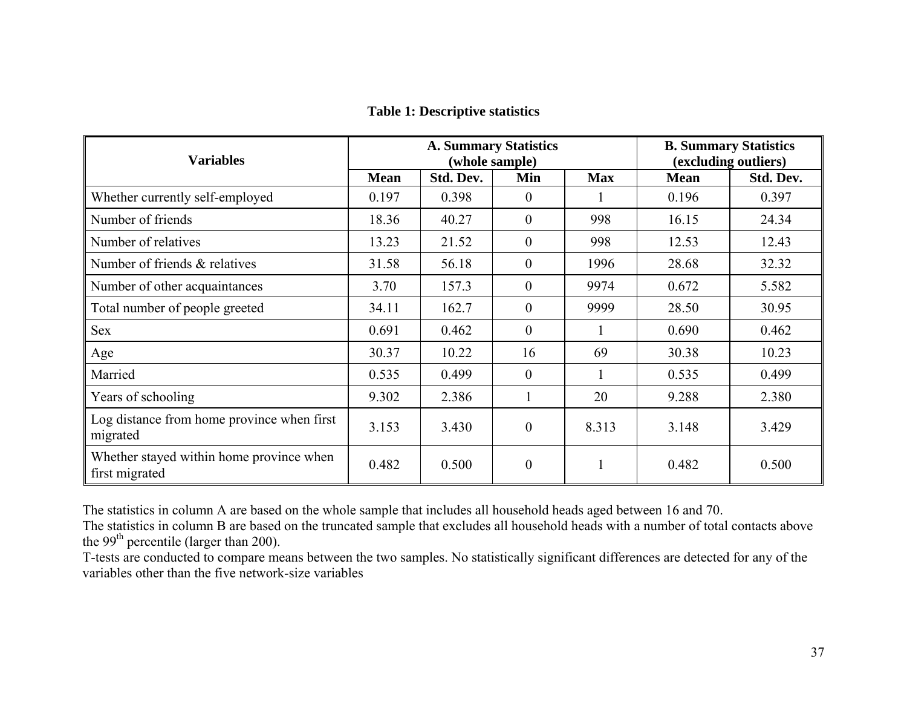| <b>Variables</b>                                           | <b>A. Summary Statistics</b><br>(whole sample) |           |          |            |             | <b>B. Summary Statistics</b><br>(excluding outliers) |  |
|------------------------------------------------------------|------------------------------------------------|-----------|----------|------------|-------------|------------------------------------------------------|--|
|                                                            | <b>Mean</b>                                    | Std. Dev. | Min      | <b>Max</b> | <b>Mean</b> | Std. Dev.                                            |  |
| Whether currently self-employed                            | 0.197                                          | 0.398     | $\theta$ |            | 0.196       | 0.397                                                |  |
| Number of friends                                          | 18.36                                          | 40.27     | $\theta$ | 998        | 16.15       | 24.34                                                |  |
| Number of relatives                                        | 13.23                                          | 21.52     | $\theta$ | 998        | 12.53       | 12.43                                                |  |
| Number of friends & relatives                              | 31.58                                          | 56.18     | $\theta$ | 1996       | 28.68       | 32.32                                                |  |
| Number of other acquaintances                              | 3.70                                           | 157.3     | $\theta$ | 9974       | 0.672       | 5.582                                                |  |
| Total number of people greeted                             | 34.11                                          | 162.7     | $\theta$ | 9999       | 28.50       | 30.95                                                |  |
| <b>Sex</b>                                                 | 0.691                                          | 0.462     | $\theta$ | 1          | 0.690       | 0.462                                                |  |
| Age                                                        | 30.37                                          | 10.22     | 16       | 69         | 30.38       | 10.23                                                |  |
| Married                                                    | 0.535                                          | 0.499     | $\theta$ |            | 0.535       | 0.499                                                |  |
| Years of schooling                                         | 9.302                                          | 2.386     |          | 20         | 9.288       | 2.380                                                |  |
| Log distance from home province when first<br>migrated     | 3.153                                          | 3.430     | $\theta$ | 8.313      | 3.148       | 3.429                                                |  |
| Whether stayed within home province when<br>first migrated | 0.482                                          | 0.500     | $\theta$ |            | 0.482       | 0.500                                                |  |

**Table 1: Descriptive statistics** 

The statistics in column A are based on the whole sample that includes all household heads aged between 16 and 70.

The statistics in column B are based on the truncated sample that excludes all household heads with a number of total contacts above the  $99<sup>th</sup>$  percentile (larger than 200).

T-tests are conducted to compare means between the two samples. No statistically significant differences are detected for any of the variables other than the five network-size variables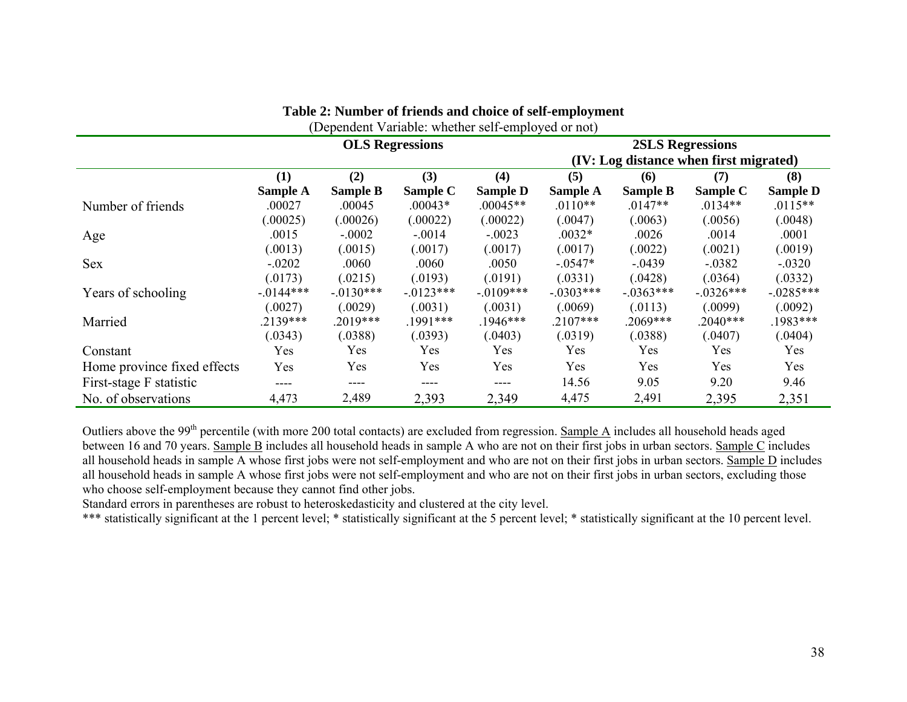| (Dependent Variable: whether self-employed or not) |                 |                 |            |                 |                         |                 |                                        |                 |  |
|----------------------------------------------------|-----------------|-----------------|------------|-----------------|-------------------------|-----------------|----------------------------------------|-----------------|--|
| <b>OLS Regressions</b>                             |                 |                 |            |                 | <b>2SLS Regressions</b> |                 |                                        |                 |  |
|                                                    |                 |                 |            |                 |                         |                 | (IV: Log distance when first migrated) |                 |  |
|                                                    | (1)             | (2)             | (3)        | (4)             | (5)                     | (6)             | (7)                                    | (8)             |  |
|                                                    | <b>Sample A</b> | <b>Sample B</b> | Sample C   | <b>Sample D</b> | <b>Sample A</b>         | <b>Sample B</b> | Sample C                               | <b>Sample D</b> |  |
| Number of friends                                  | .00027          | .00045          | $.00043*$  | $.00045**$      | $.0110**$               | $.0147**$       | $.0134**$                              | $.0115**$       |  |
|                                                    | .00025)         | (.00026)        | (.00022)   | (.00022)        | (.0047)                 | (.0063)         | (.0056)                                | (.0048)         |  |
| Age                                                | .0015           | $-.0002$        | $-.0014$   | $-.0023$        | $.0032*$                | .0026           | .0014                                  | .0001           |  |
|                                                    | (.0013)         | (.0015)         | (.0017)    | (.0017)         | (.0017)                 | (.0022)         | (.0021)                                | (.0019)         |  |
| <b>Sex</b>                                         | $-.0202$        | .0060           | .0060      | .0050           | $-.0547*$               | $-.0439$        | $-.0382$                               | $-.0320$        |  |
|                                                    | (.0173)         | (.0215)         | (.0193)    | (.0191)         | (.0331)                 | (.0428)         | (.0364)                                | (.0332)         |  |
| Years of schooling                                 | $-0.0144***$    | $-.0130***$     | $-0123***$ | $-.0109***$     | $-.0303***$             | $-.0363***$     | $-.0326***$                            | $-.0285***$     |  |
|                                                    | (.0027)         | (.0029)         | (.0031)    | (.0031)         | (.0069)                 | (.0113)         | (.0099)                                | (.0092)         |  |
| Married                                            | $.2139***$      | $.2019***$      | $.1991***$ | $.1946***$      | $.2107***$              | $.2069***$      | $.2040***$                             | $.1983***$      |  |
|                                                    | (.0343)         | (.0388)         | (.0393)    | (.0403)         | (.0319)                 | (.0388)         | (.0407)                                | (.0404)         |  |
| Constant                                           | Yes             | Yes             | Yes        | Yes             | Yes                     | Yes             | Yes                                    | Yes             |  |
| Home province fixed effects                        | Yes             | Yes             | Yes        | Yes             | Yes                     | Yes             | Yes                                    | Yes             |  |
| First-stage F statistic                            | ----            | ----            | ----       | ----            | 14.56                   | 9.05            | 9.20                                   | 9.46            |  |
| No. of observations                                | 4,473           | 2,489           | 2,393      | 2,349           | 4,475                   | 2,491           | 2,395                                  | 2,351           |  |

# **Table 2: Number of friends and choice of self-employment**

Outliers above the 99<sup>th</sup> percentile (with more 200 total contacts) are excluded from regression. Sample A includes all household heads aged between 16 and 70 years. Sample B includes all household heads in sample A who are not on their first jobs in urban sectors. Sample C includes all household heads in sample A whose first jobs were not self-employment and who are not on their first jobs in urban sectors. Sample D includes all household heads in sample A whose first jobs were not self-employment and who are not on their first jobs in urban sectors, excluding those who choose self-employment because they cannot find other jobs.

Standard errors in parentheses are robust to heteroskedasticity and clustered at the city level.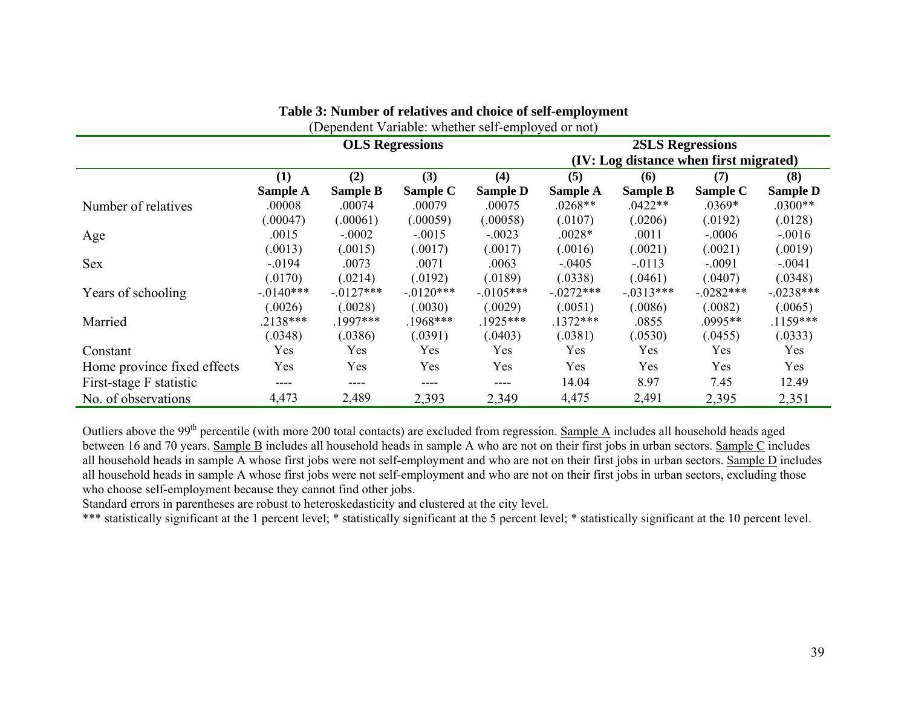| (Dependent Variable: whether self-employed or not) |                 |                 |            |                 |                         |                 |                                        |                 |  |
|----------------------------------------------------|-----------------|-----------------|------------|-----------------|-------------------------|-----------------|----------------------------------------|-----------------|--|
| <b>OLS Regressions</b>                             |                 |                 |            |                 | <b>2SLS Regressions</b> |                 |                                        |                 |  |
|                                                    |                 |                 |            |                 |                         |                 | (IV: Log distance when first migrated) |                 |  |
|                                                    | (1)             | (2)             | (3)        | (4)             | (5)                     | (6)             | (7)                                    | (8)             |  |
|                                                    | <b>Sample A</b> | <b>Sample B</b> | Sample C   | <b>Sample D</b> | <b>Sample A</b>         | <b>Sample B</b> | Sample C                               | <b>Sample D</b> |  |
| Number of relatives                                | .00008          | .00074          | .00079     | .00075          | $.0268**$               | $.0422**$       | $.0369*$                               | $.0300**$       |  |
|                                                    | (0.00047)       | (.00061)        | (.00059)   | (.00058)        | (.0107)                 | (.0206)         | (.0192)                                | (.0128)         |  |
| Age                                                | .0015           | $-.0002$        | $-.0015$   | $-.0023$        | $.0028*$                | .0011           | $-.0006$                               | $-.0016$        |  |
|                                                    | (.0013)         | (.0015)         | (.0017)    | (.0017)         | (.0016)                 | (.0021)         | (.0021)                                | (.0019)         |  |
| Sex                                                | $-.0194$        | .0073           | .0071      | .0063           | $-.0405$                | $-0.0113$       | $-.0091$                               | $-.0041$        |  |
|                                                    | (.0170)         | (.0214)         | (.0192)    | (.0189)         | (.0338)                 | (.0461)         | (.0407)                                | (.0348)         |  |
| Years of schooling                                 | $-.0140***$     | $-0.0127***$    | $-0120***$ | $-.0105***$     | $-.0272***$             | $-.0313***$     | $-.0282***$                            | $-.0238***$     |  |
|                                                    | 0026            | (.0028)         | (.0030)    | (.0029)         | (.0051)                 | (.0086)         | (.0082)                                | (.0065)         |  |
| Married                                            | $.2138***$      | $.1997***$      | $.1968***$ | $.1925***$      | $.1372***$              | .0855           | .0995**                                | $.1159***$      |  |
|                                                    | (.0348)         | (.0386)         | (.0391)    | (.0403)         | (.0381)                 | (.0530)         | (.0455)                                | (.0333)         |  |
| Constant                                           | Yes             | Yes             | Yes        | Yes             | Yes                     | Yes             | Yes                                    | Yes             |  |
| Home province fixed effects                        | Yes             | Yes             | Yes        | Yes             | Yes                     | Yes             | Yes                                    | Yes             |  |
| First-stage F statistic                            | ----            | ----            | ----       | ----            | 14.04                   | 8.97            | 7.45                                   | 12.49           |  |
| No. of observations                                | 4,473           | 2,489           | 2,393      | 2,349           | 4,475                   | 2,491           | 2,395                                  | 2,351           |  |

# **Table 3: Number of relatives and choice of self-employment**

Outliers above the 99<sup>th</sup> percentile (with more 200 total contacts) are excluded from regression. Sample A includes all household heads aged between 16 and 70 years. Sample B includes all household heads in sample A who are not on their first jobs in urban sectors. Sample C includes all household heads in sample A whose first jobs were not self-employment and who are not on their first jobs in urban sectors. Sample D includes all household heads in sample A whose first jobs were not self-employment and who are not on their first jobs in urban sectors, excluding those who choose self-employment because they cannot find other jobs.

Standard errors in parentheses are robust to heteroskedasticity and clustered at the city level.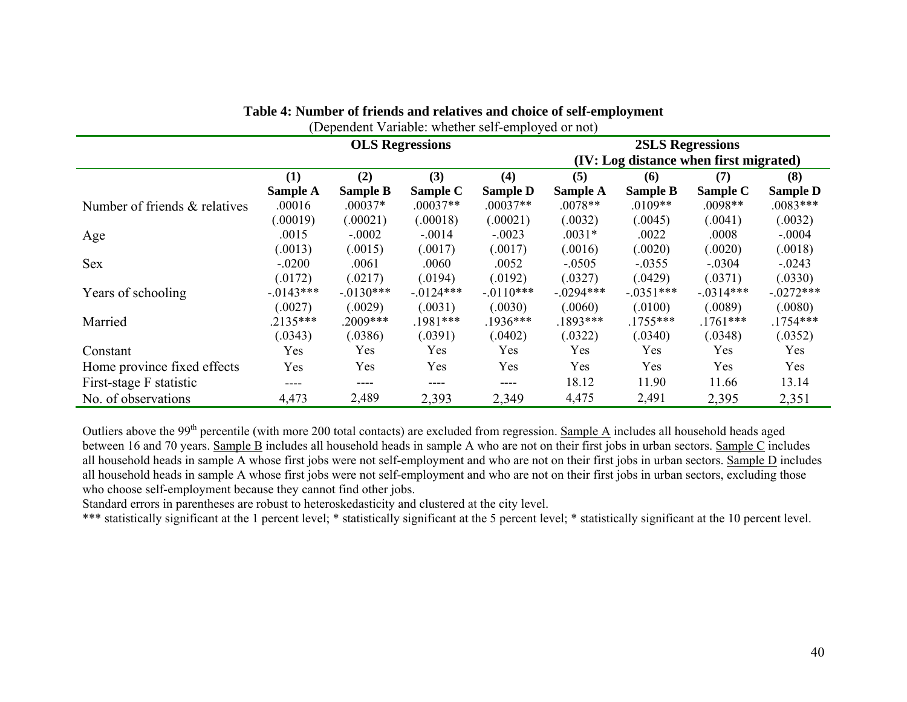| (Dependent Variable: whether self-employed or not) |                        |                 |              |                 |                 |                         |                                        |                 |  |  |
|----------------------------------------------------|------------------------|-----------------|--------------|-----------------|-----------------|-------------------------|----------------------------------------|-----------------|--|--|
|                                                    | <b>OLS Regressions</b> |                 |              |                 |                 | <b>2SLS Regressions</b> |                                        |                 |  |  |
|                                                    |                        |                 |              |                 |                 |                         | (IV: Log distance when first migrated) |                 |  |  |
|                                                    | (1)                    | (2)             | (3)          | (4)             | (5)             | (6)                     | (7)                                    | (8)             |  |  |
|                                                    | Sample A               | <b>Sample B</b> | Sample C     | <b>Sample D</b> | <b>Sample A</b> | <b>Sample B</b>         | Sample C                               | <b>Sample D</b> |  |  |
| Number of friends & relatives                      | .00016                 | $.00037*$       | $.00037**$   | $.00037**$      | $.0078**$       | $.0109**$               | .0098**                                | $.0083***$      |  |  |
|                                                    | (.00019)               | (.00021)        | (.00018)     | (.00021)        | (.0032)         | (.0045)                 | (.0041)                                | (.0032)         |  |  |
| Age                                                | .0015                  | $-.0002$        | $-.0014$     | $-.0023$        | $.0031*$        | .0022                   | .0008                                  | $-.0004$        |  |  |
|                                                    | (.0013)                | (.0015)         | (.0017)      | (.0017)         | (.0016)         | (.0020)                 | (.0020)                                | (.0018)         |  |  |
| Sex                                                | $-.0200$               | .0061           | .0060        | .0052           | $-.0505$        | $-.0355$                | $-.0304$                               | $-.0243$        |  |  |
|                                                    | (.0172)                | (.0217)         | (.0194)      | .0192)          | (.0327)         | (.0429)                 | (.0371)                                | (.0330)         |  |  |
| Years of schooling                                 | $-0.0143***$           | $-.0130***$     | $-0.0124***$ | $-.0110***$     | $-.0294***$     | $-.0351***$             | $-.0314***$                            | $-.0272***$     |  |  |
|                                                    | .0027)                 | (.0029)         | (.0031)      | (.0030)         | (.0060)         | (.0100)                 | (.0089)                                | (.0080)         |  |  |
| Married                                            | $.2135***$             | $.2009***$      | $.1981***$   | $.1936***$      | $.1893***$      | $.1755***$              | $.1761***$                             | $.1754***$      |  |  |
|                                                    | (.0343)                | (.0386)         | (.0391)      | (.0402)         | (.0322)         | (.0340)                 | (.0348)                                | (.0352)         |  |  |
| Constant                                           | Yes                    | Yes             | Yes          | Yes             | Yes             | Yes                     | Yes                                    | Yes             |  |  |
| Home province fixed effects                        | Yes                    | Yes             | Yes          | Yes             | Yes             | Yes                     | Yes                                    | Yes             |  |  |
| First-stage F statistic                            | ----                   | ----            | ----         | ----            | 18.12           | 11.90                   | 11.66                                  | 13.14           |  |  |
| No. of observations                                | 4,473                  | 2,489           | 2,393        | 2,349           | 4,475           | 2,491                   | 2,395                                  | 2,351           |  |  |

# **Table 4: Number of friends and relatives and choice of self-employment**

Outliers above the 99<sup>th</sup> percentile (with more 200 total contacts) are excluded from regression. Sample A includes all household heads aged between 16 and 70 years. Sample B includes all household heads in sample A who are not on their first jobs in urban sectors. Sample C includes all household heads in sample A whose first jobs were not self-employment and who are not on their first jobs in urban sectors. Sample D includes all household heads in sample A whose first jobs were not self-employment and who are not on their first jobs in urban sectors, excluding those who choose self-employment because they cannot find other jobs.

Standard errors in parentheses are robust to heteroskedasticity and clustered at the city level.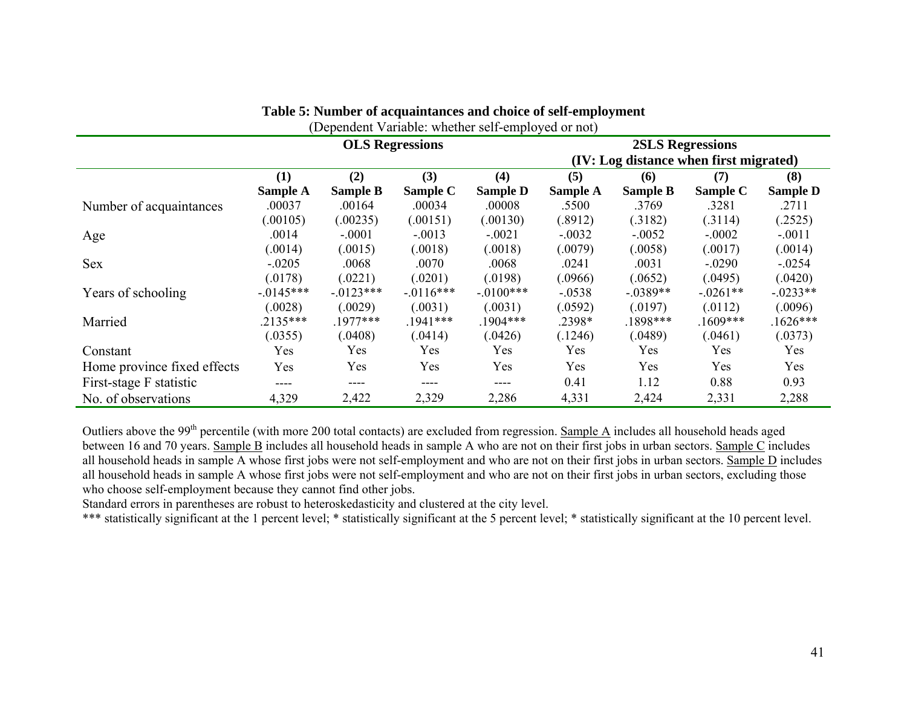| (Dependent Variable: whether self-employed or not) |                        |                 |             |                 |                 |                         |                                        |                 |  |  |
|----------------------------------------------------|------------------------|-----------------|-------------|-----------------|-----------------|-------------------------|----------------------------------------|-----------------|--|--|
|                                                    | <b>OLS Regressions</b> |                 |             |                 |                 | <b>2SLS Regressions</b> |                                        |                 |  |  |
|                                                    |                        |                 |             |                 |                 |                         | (IV: Log distance when first migrated) |                 |  |  |
|                                                    | (1)                    | (2)             | (3)         | (4)             | (5)             | (6)                     | (7)                                    | (8)             |  |  |
|                                                    | <b>Sample A</b>        | <b>Sample B</b> | Sample C    | <b>Sample D</b> | <b>Sample A</b> | <b>Sample B</b>         | Sample C                               | <b>Sample D</b> |  |  |
| Number of acquaintances                            | .00037                 | .00164          | .00034      | .00008          | .5500           | .3769                   | .3281                                  | .2711           |  |  |
|                                                    | (0.0105)               | (.00235)        | (.00151)    | (.00130)        | (.8912)         | (.3182)                 | (.3114)                                | (.2525)         |  |  |
| Age                                                | .0014                  | $-.0001$        | $-.0013$    | $-.0021$        | $-.0032$        | $-.0052$                | $-.0002$                               | $-.0011$        |  |  |
|                                                    | (.0014)                | (.0015)         | (.0018)     | (.0018)         | (.0079)         | (.0058)                 | (.0017)                                | (.0014)         |  |  |
| Sex                                                | $-.0205$               | .0068           | .0070       | .0068           | .0241           | .0031                   | $-.0290$                               | $-.0254$        |  |  |
|                                                    | (.0178)                | (.0221)         | (.0201)     | (.0198)         | (.0966)         | (.0652)                 | (.0495)                                | (.0420)         |  |  |
| Years of schooling                                 | $-0.0145***$           | $-0.0123***$    | $-.0116***$ | $-.0100***$     | $-.0538$        | $-.0389**$              | $-.0261**$                             | $-.0233**$      |  |  |
|                                                    | .0028)                 | (.0029)         | (.0031)     | (.0031)         | (.0592)         | (.0197)                 | (.0112)                                | 0096            |  |  |
| Married                                            | $.2135***$             | $.1977***$      | .1941***    | $.1904***$      | .2398*          | .1898***                | $.1609***$                             | $.1626***$      |  |  |
|                                                    | (.0355)                | (.0408)         | (.0414)     | (.0426)         | (.1246)         | (.0489)                 | (.0461)                                | (.0373)         |  |  |
| Constant                                           | Yes                    | Yes             | Yes         | Yes             | Yes             | Yes                     | Yes                                    | Yes             |  |  |
| Home province fixed effects                        | Yes                    | Yes             | Yes         | Yes             | Yes             | Yes                     | Yes                                    | Yes             |  |  |
| First-stage F statistic                            | ----                   | ----            | ----        | ----            | 0.41            | 1.12                    | 0.88                                   | 0.93            |  |  |
| No. of observations                                | 4,329                  | 2,422           | 2,329       | 2,286           | 4,331           | 2,424                   | 2,331                                  | 2,288           |  |  |

# **Table 5: Number of acquaintances and choice of self-employment**

Outliers above the 99<sup>th</sup> percentile (with more 200 total contacts) are excluded from regression. Sample A includes all household heads aged between 16 and 70 years. Sample B includes all household heads in sample A who are not on their first jobs in urban sectors. Sample C includes all household heads in sample A whose first jobs were not self-employment and who are not on their first jobs in urban sectors. Sample D includes all household heads in sample A whose first jobs were not self-employment and who are not on their first jobs in urban sectors, excluding those who choose self-employment because they cannot find other jobs.

Standard errors in parentheses are robust to heteroskedasticity and clustered at the city level.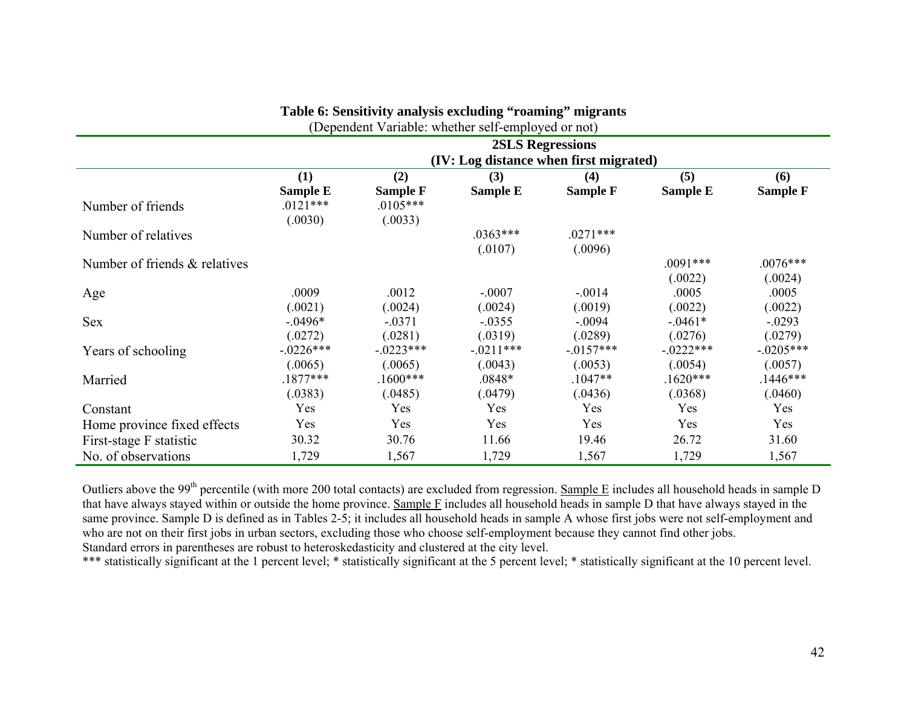|                               |                                        |                 | (Dependent Variable, whether self-employed of not) |                         |              |                 |  |  |  |
|-------------------------------|----------------------------------------|-----------------|----------------------------------------------------|-------------------------|--------------|-----------------|--|--|--|
|                               |                                        |                 |                                                    | <b>2SLS Regressions</b> |              |                 |  |  |  |
|                               | (IV: Log distance when first migrated) |                 |                                                    |                         |              |                 |  |  |  |
|                               | (1)                                    | (2)             | (3)                                                | (4)                     | (5)          | (6)             |  |  |  |
|                               | Sample E                               | <b>Sample F</b> | Sample E                                           | <b>Sample F</b>         | Sample E     | <b>Sample F</b> |  |  |  |
| Number of friends             | $.0121***$                             | $.0105***$      |                                                    |                         |              |                 |  |  |  |
|                               | (.0030)                                | (.0033)         |                                                    |                         |              |                 |  |  |  |
| Number of relatives           |                                        |                 | $.0363***$                                         | $.0271***$              |              |                 |  |  |  |
|                               |                                        |                 | (.0107)                                            | (.0096)                 |              |                 |  |  |  |
| Number of friends & relatives |                                        |                 |                                                    |                         | $.0091***$   | $.0076***$      |  |  |  |
|                               |                                        |                 |                                                    |                         | (.0022)      | (.0024)         |  |  |  |
| Age                           | .0009                                  | .0012           | $-.0007$                                           | $-.0014$                | .0005        | .0005           |  |  |  |
|                               | (.0021)                                | (.0024)         | (.0024)                                            | (.0019)                 | (.0022)      | (.0022)         |  |  |  |
| <b>Sex</b>                    | $-.0496*$                              | $-.0371$        | $-.0355$                                           | $-.0094$                | $-.0461*$    | $-.0293$        |  |  |  |
|                               | (.0272)                                | (.0281)         | (.0319)                                            | (.0289)                 | (.0276)      | (.0279)         |  |  |  |
| Years of schooling            | $-.0226***$                            | $-.0223***$     | $-.0211***$                                        | $-0.0157***$            | $-0.0222***$ | $-.0205***$     |  |  |  |
|                               | (.0065)                                | (.0065)         | (.0043)                                            | (.0053)                 | (.0054)      | (.0057)         |  |  |  |
| Married                       | $.1877***$                             | $.1600***$      | $.0848*$                                           | $.1047**$               | $.1620***$   | $.1446***$      |  |  |  |
|                               | (.0383)                                | (.0485)         | (.0479)                                            | (.0436)                 | (.0368)      | (.0460)         |  |  |  |
| Constant                      | Yes                                    | Yes             | Yes                                                | Yes                     | Yes          | Yes             |  |  |  |
| Home province fixed effects   | Yes                                    | Yes             | Yes                                                | Yes                     | Yes          | Yes             |  |  |  |
| First-stage F statistic       | 30.32                                  | 30.76           | 11.66                                              | 19.46                   | 26.72        | 31.60           |  |  |  |
| No. of observations           | 1,729                                  | 1,567           | 1,729                                              | 1,567                   | 1,729        | 1,567           |  |  |  |

**Table 6: Sensitivity analysis excluding "roaming" migrants**  $(D_{\text{new}} + 1, \ldots, D_{\text{new}})$ 

Outliers above the 99<sup>th</sup> percentile (with more 200 total contacts) are excluded from regression. Sample E includes all household heads in sample D that have always stayed within or outside the home province. Sample F includes all household heads in sample D that have always stayed in the same province. Sample D is defined as in Tables 2-5; it includes all household heads in sample A whose first jobs were not self-employment and who are not on their first jobs in urban sectors, excluding those who choose self-employment because they cannot find other jobs. Standard errors in parentheses are robust to heteroskedasticity and clustered at the city level.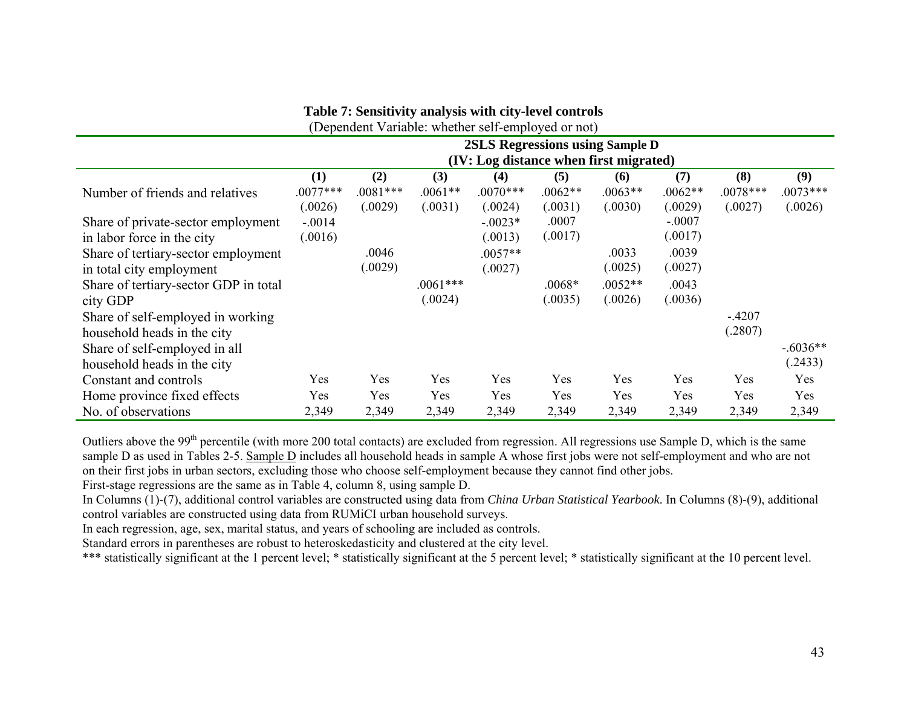|                                                                  |                                        |                              |                             | (Dependent Variable: whether self-employed or not) |                             |                             |                             |                              |                              |
|------------------------------------------------------------------|----------------------------------------|------------------------------|-----------------------------|----------------------------------------------------|-----------------------------|-----------------------------|-----------------------------|------------------------------|------------------------------|
|                                                                  |                                        |                              |                             | <b>2SLS Regressions using Sample D</b>             |                             |                             |                             |                              |                              |
|                                                                  | (IV: Log distance when first migrated) |                              |                             |                                                    |                             |                             |                             |                              |                              |
| Number of friends and relatives                                  | (1)<br>$.0077***$<br>(.0026)           | (2)<br>$.0081***$<br>(.0029) | (3)<br>$.0061**$<br>(.0031) | (4)<br>$.0070***$<br>(.0024)                       | (5)<br>$.0062**$<br>(.0031) | (6)<br>$.0063**$<br>(.0030) | (7)<br>$.0062**$<br>(.0029) | (8)<br>$.0078***$<br>(.0027) | (9)<br>$.0073***$<br>(.0026) |
| Share of private-sector employment<br>in labor force in the city | $-.0014$<br>(.0016)                    |                              |                             | $-.0023*$<br>(.0013)                               | .0007<br>(.0017)            |                             | $-.0007$<br>(.0017)         |                              |                              |
| Share of tertiary-sector employment<br>in total city employment  |                                        | .0046<br>(.0029)             |                             | $.0057**$<br>(.0027)                               |                             | .0033<br>(.0025)            | .0039<br>(.0027)            |                              |                              |
| Share of tertiary-sector GDP in total<br>city GDP                |                                        |                              | $.0061***$<br>(.0024)       |                                                    | $.0068*$<br>(.0035)         | $.0052**$<br>(.0026)        | .0043<br>(.0036)            |                              |                              |
| Share of self-employed in working<br>household heads in the city |                                        |                              |                             |                                                    |                             |                             |                             | $-.4207$<br>(.2807)          |                              |
| Share of self-employed in all<br>household heads in the city     |                                        |                              |                             |                                                    |                             |                             |                             |                              | $-.6036**$<br>(.2433)        |
| Constant and controls                                            | Yes                                    | Yes                          | Yes                         | Yes                                                | Yes                         | Yes                         | Yes                         | Yes                          | Yes                          |
| Home province fixed effects                                      | Yes                                    | Yes                          | Yes                         | Yes                                                | Yes                         | Yes                         | Yes                         | Yes                          | Yes                          |
| No. of observations                                              | 2,349                                  | 2,349                        | 2,349                       | 2,349                                              | 2,349                       | 2,349                       | 2,349                       | 2,349                        | 2,349                        |

# **Table 7: Sensitivity analysis with city-level controls**

Outliers above the 99<sup>th</sup> percentile (with more 200 total contacts) are excluded from regression. All regressions use Sample D, which is the same sample D as used in Tables 2-5. Sample D includes all household heads in sample A whose first jobs were not self-employment and who are not on their first jobs in urban sectors, excluding those who choose self-employment because they cannot find other jobs.

First-stage regressions are the same as in Table 4, column 8, using sample D.

In Columns (1)-(7), additional control variables are constructed using data from *China Urban Statistical Yearbook*. In Columns (8)-(9), additional control variables are constructed using data from RUMiCI urban household surveys.

In each regression, age, sex, marital status, and years of schooling are included as controls.

Standard errors in parentheses are robust to heteroskedasticity and clustered at the city level.